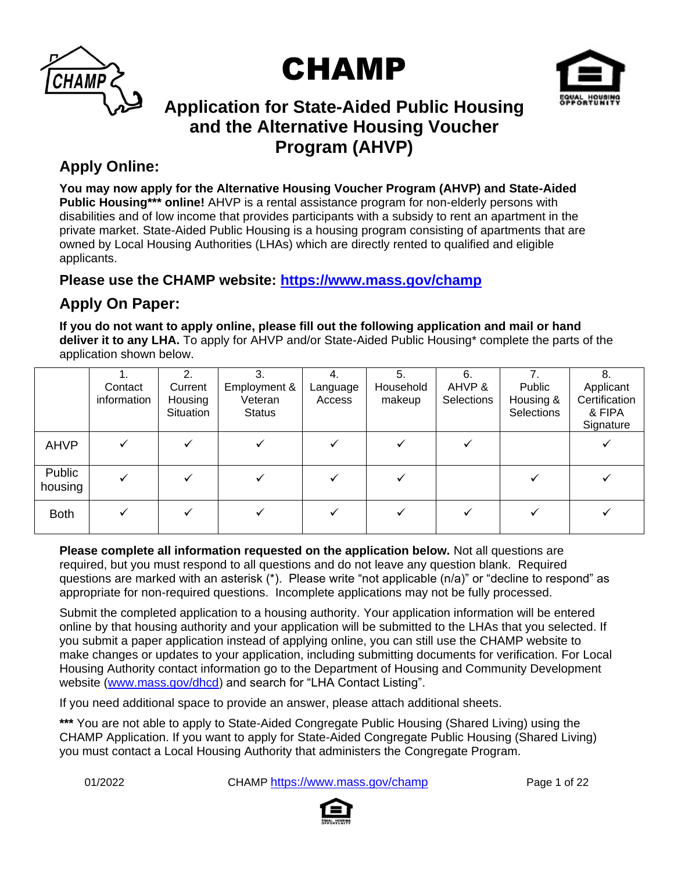





# **Application for State-Aided Public Housing and the Alternative Housing Voucher Program (AHVP)**

### **Apply Online:**

**You may now apply for the Alternative Housing Voucher Program (AHVP) and State-Aided Public Housing\*\*\* online!** AHVP is a rental assistance program for non-elderly persons with disabilities and of low income that provides participants with a subsidy to rent an apartment in the private market. State-Aided Public Housing is a housing program consisting of apartments that are owned by Local Housing Authorities (LHAs) which are directly rented to qualified and eligible applicants.

### **Please use the CHAMP website: [https://www.mass.gov/champ](https://www.mass.gov/applyforpublichousing)**

## **Apply On Paper:**

**If you do not want to apply online, please fill out the following application and mail or hand deliver it to any LHA.** To apply for AHVP and/or State-Aided Public Housing\* complete the parts of the application shown below.

|                   | Contact<br>information | $\mathbf{2}$<br>Current<br>Housing<br><b>Situation</b> | 3.<br>Employment &<br>Veteran<br><b>Status</b> | 4.<br>Language<br>Access | 5.<br>Household<br>makeup | 6.<br>AHVP &<br><b>Selections</b> | Public<br>Housing &<br>Selections | 8.<br>Applicant<br>Certification<br>& FIPA<br>Signature |
|-------------------|------------------------|--------------------------------------------------------|------------------------------------------------|--------------------------|---------------------------|-----------------------------------|-----------------------------------|---------------------------------------------------------|
| <b>AHVP</b>       |                        |                                                        |                                                |                          |                           |                                   |                                   |                                                         |
| Public<br>housing |                        |                                                        |                                                |                          |                           |                                   |                                   |                                                         |
| <b>Both</b>       |                        |                                                        |                                                |                          |                           |                                   |                                   |                                                         |

**Please complete all information requested on the application below.** Not all questions are required, but you must respond to all questions and do not leave any question blank. Required questions are marked with an asterisk (\*). Please write "not applicable (n/a)" or "decline to respond" as appropriate for non-required questions. Incomplete applications may not be fully processed.

Submit the completed application to a housing authority. Your application information will be entered online by that housing authority and your application will be submitted to the LHAs that you selected. If you submit a paper application instead of applying online, you can still use the CHAMP website to make changes or updates to your application, including submitting documents for verification. For Local Housing Authority contact information go to the Department of Housing and Community Development website [\(www.mass.gov/dhcd\)](http://www.mass.gov/dhcd) and search for "LHA Contact Listing".

If you need additional space to provide an answer, please attach additional sheets.

**\*\*\*** You are not able to apply to State-Aided Congregate Public Housing (Shared Living) using the CHAMP Application. If you want to apply for State-Aided Congregate Public Housing (Shared Living) you must contact a Local Housing Authority that administers the Congregate Program.

01/2022 CHAMP <https://www.mass.gov/champ>Page 1 of 22

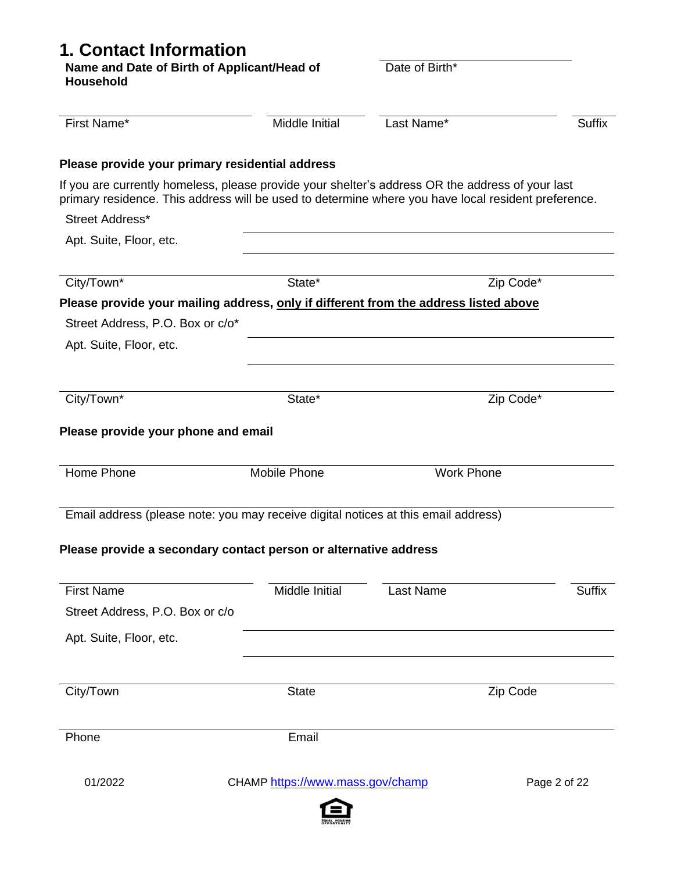# **1. Contact Information**

| Name and Date of Birth of Applicant/Head of<br><b>Household</b>                                                                                                                                         |                                  | Date of Birth*    |               |
|---------------------------------------------------------------------------------------------------------------------------------------------------------------------------------------------------------|----------------------------------|-------------------|---------------|
| First Name*                                                                                                                                                                                             | Middle Initial                   | Last Name*        | Suffix        |
| Please provide your primary residential address                                                                                                                                                         |                                  |                   |               |
| If you are currently homeless, please provide your shelter's address OR the address of your last<br>primary residence. This address will be used to determine where you have local resident preference. |                                  |                   |               |
| Street Address*                                                                                                                                                                                         |                                  |                   |               |
| Apt. Suite, Floor, etc.                                                                                                                                                                                 |                                  |                   |               |
| City/Town*                                                                                                                                                                                              | State*                           |                   | Zip Code*     |
| Please provide your mailing address, only if different from the address listed above                                                                                                                    |                                  |                   |               |
| Street Address, P.O. Box or c/o*                                                                                                                                                                        |                                  |                   |               |
| Apt. Suite, Floor, etc.                                                                                                                                                                                 |                                  |                   |               |
|                                                                                                                                                                                                         |                                  |                   |               |
| City/Town*                                                                                                                                                                                              | State*                           |                   | Zip Code*     |
| Please provide your phone and email<br>Home Phone                                                                                                                                                       | Mobile Phone                     | <b>Work Phone</b> |               |
| Email address (please note: you may receive digital notices at this email address)                                                                                                                      |                                  |                   |               |
| Please provide a secondary contact person or alternative address                                                                                                                                        |                                  |                   |               |
| <b>First Name</b>                                                                                                                                                                                       | <b>Middle Initial</b>            | Last Name         | <b>Suffix</b> |
| Street Address, P.O. Box or c/o                                                                                                                                                                         |                                  |                   |               |
| Apt. Suite, Floor, etc.                                                                                                                                                                                 |                                  |                   |               |
| City/Town                                                                                                                                                                                               | <b>State</b>                     |                   | Zip Code      |
|                                                                                                                                                                                                         |                                  |                   |               |
| Phone                                                                                                                                                                                                   | Email                            |                   |               |
| 01/2022                                                                                                                                                                                                 | CHAMP https://www.mass.gov/champ |                   | Page 2 of 22  |

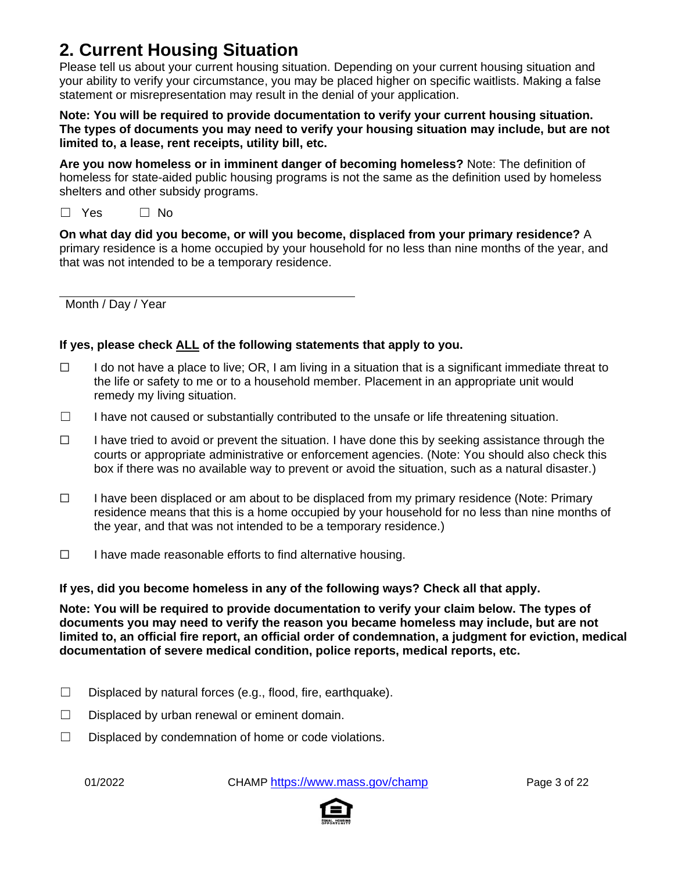# **2. Current Housing Situation**

Please tell us about your current housing situation. Depending on your current housing situation and your ability to verify your circumstance, you may be placed higher on specific waitlists. Making a false statement or misrepresentation may result in the denial of your application.

**Note: You will be required to provide documentation to verify your current housing situation. The types of documents you may need to verify your housing situation may include, but are not limited to, a lease, rent receipts, utility bill, etc.**

**Are you now homeless or in imminent danger of becoming homeless?** Note: The definition of homeless for state-aided public housing programs is not the same as the definition used by homeless shelters and other subsidy programs.

 $\Box$  Yes  $\Box$  No

**On what day did you become, or will you become, displaced from your primary residence?** A primary residence is a home occupied by your household for no less than nine months of the year, and that was not intended to be a temporary residence.

Month / Day / Year

#### **If yes, please check ALL of the following statements that apply to you.**

- $\Box$  I do not have a place to live; OR, I am living in a situation that is a significant immediate threat to the life or safety to me or to a household member. Placement in an appropriate unit would remedy my living situation.
- ☐ I have not caused or substantially contributed to the unsafe or life threatening situation.
- $\Box$  I have tried to avoid or prevent the situation. I have done this by seeking assistance through the courts or appropriate administrative or enforcement agencies. (Note: You should also check this box if there was no available way to prevent or avoid the situation, such as a natural disaster.)
- ☐ I have been displaced or am about to be displaced from my primary residence (Note: Primary residence means that this is a home occupied by your household for no less than nine months of the year, and that was not intended to be a temporary residence.)
- ☐ I have made reasonable efforts to find alternative housing.

#### **If yes, did you become homeless in any of the following ways? Check all that apply.**

**Note: You will be required to provide documentation to verify your claim below. The types of documents you may need to verify the reason you became homeless may include, but are not limited to, an official fire report, an official order of condemnation, a judgment for eviction, medical documentation of severe medical condition, police reports, medical reports, etc.**

- $\Box$  Displaced by natural forces (e.g., flood, fire, earthquake).
- $\Box$  Displaced by urban renewal or eminent domain.
- ☐ Displaced by condemnation of home or code violations.

01/2022 CHAMP <https://www.mass.gov/champ>Page 3 of 22

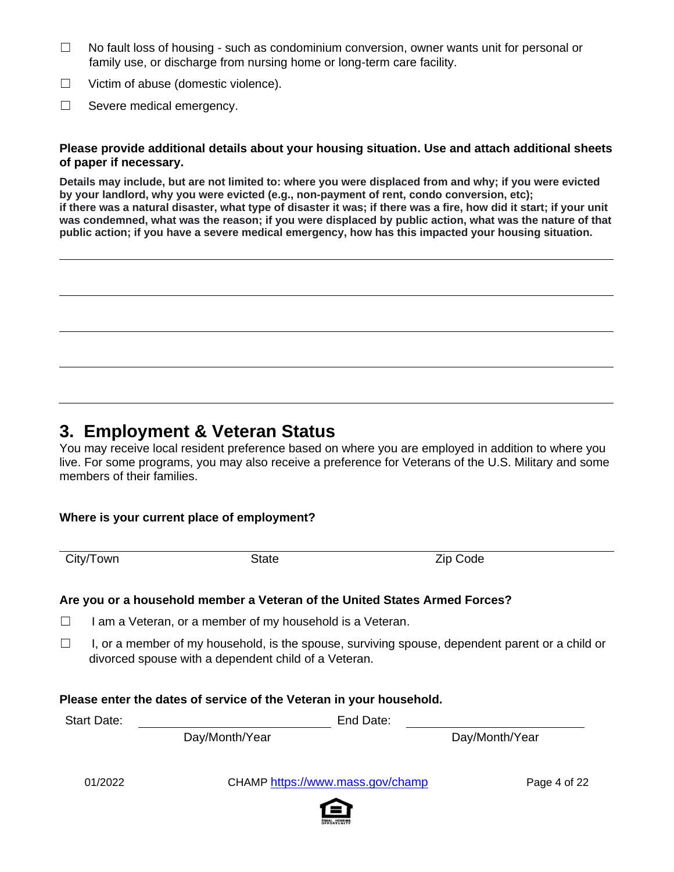- ☐ No fault loss of housing such as condominium conversion, owner wants unit for personal or family use, or discharge from nursing home or long-term care facility.
- ☐ Victim of abuse (domestic violence).
- ☐ Severe medical emergency.

#### **Please provide additional details about your housing situation. Use and attach additional sheets of paper if necessary.**

**Details may include, but are not limited to: where you were displaced from and why; if you were evicted by your landlord, why you were evicted (e.g., non-payment of rent, condo conversion, etc); if there was a natural disaster, what type of disaster it was; if there was a fire, how did it start; if your unit was condemned, what was the reason; if you were displaced by public action, what was the nature of that public action; if you have a severe medical emergency, how has this impacted your housing situation.**

### **3. Employment & Veteran Status**

You may receive local resident preference based on where you are employed in addition to where you live. For some programs, you may also receive a preference for Veterans of the U.S. Military and some members of their families.

#### **Where is your current place of employment?**

City/Town State State **Zip Code** 

#### **Are you or a household member a Veteran of the United States Armed Forces?**

 $\Box$  I am a Veteran, or a member of my household is a Veteran.

 $\Box$  I, or a member of my household, is the spouse, surviving spouse, dependent parent or a child or divorced spouse with a dependent child of a Veteran.

#### **Please enter the dates of service of the Veteran in your household.**

Start Date: End Date:

Day/Month/Year Day/Month/Year

01/2022 CHAMP <https://www.mass.gov/champ>Page 4 of 22

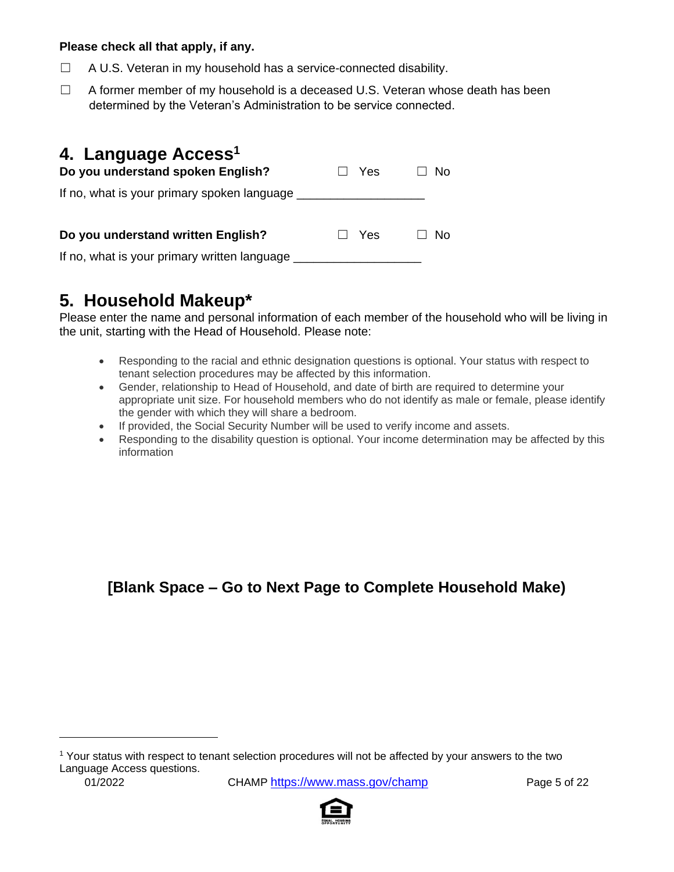#### **Please check all that apply, if any.**

- ☐ A U.S. Veteran in my household has a service-connected disability.
- $\Box$  A former member of my household is a deceased U.S. Veteran whose death has been determined by the Veteran's Administration to be service connected.

| 4. Language Access <sup>1</sup><br>Do you understand spoken English? | Yes        | No |
|----------------------------------------------------------------------|------------|----|
| If no, what is your primary spoken language                          |            |    |
| Do you understand written English?                                   | $\Box$ Yes | Nο |
| If no, what is your primary written language                         |            |    |

# **5. Household Makeup\***

Please enter the name and personal information of each member of the household who will be living in the unit, starting with the Head of Household. Please note:

- Responding to the racial and ethnic designation questions is optional. Your status with respect to tenant selection procedures may be affected by this information.
- Gender, relationship to Head of Household, and date of birth are required to determine your appropriate unit size. For household members who do not identify as male or female, please identify the gender with which they will share a bedroom.
- If provided, the Social Security Number will be used to verify income and assets.
- Responding to the disability question is optional. Your income determination may be affected by this information

## **[Blank Space – Go to Next Page to Complete Household Make)**

<sup>1</sup> Your status with respect to tenant selection procedures will not be affected by your answers to the two Language Access questions.

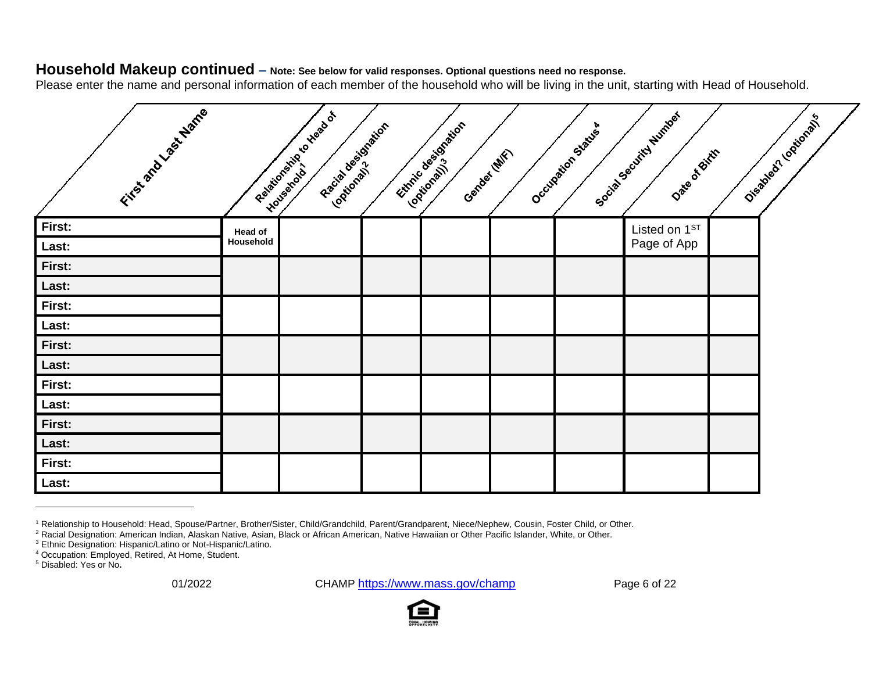### **Household Makeup continued – Note: See below for valid responses. Optional questions need no response.**

Please enter the name and personal information of each member of the household who will be living in the unit, starting with Head of Household.

| Fitable of Division Marie |           | Relationships to these of<br>Racial designation<br>Logitorally<br>I-Yousenoto | Ethnic designation<br>Gender (MIX)<br>Loquidrain's | Occupation Status | Social Security Number<br>Date of Birth | Oiseable of Loquidoral |
|---------------------------|-----------|-------------------------------------------------------------------------------|----------------------------------------------------|-------------------|-----------------------------------------|------------------------|
| First:                    | Head of   |                                                                               |                                                    |                   | Listed on $1ST$                         |                        |
| Last:                     | Household |                                                                               |                                                    |                   | Page of App                             |                        |
| First:                    |           |                                                                               |                                                    |                   |                                         |                        |
| Last:                     |           |                                                                               |                                                    |                   |                                         |                        |
| First:                    |           |                                                                               |                                                    |                   |                                         |                        |
| Last:                     |           |                                                                               |                                                    |                   |                                         |                        |
| First:                    |           |                                                                               |                                                    |                   |                                         |                        |
| Last:                     |           |                                                                               |                                                    |                   |                                         |                        |
| First:                    |           |                                                                               |                                                    |                   |                                         |                        |
| Last:                     |           |                                                                               |                                                    |                   |                                         |                        |
| First:                    |           |                                                                               |                                                    |                   |                                         |                        |
| Last:                     |           |                                                                               |                                                    |                   |                                         |                        |
| First:                    |           |                                                                               |                                                    |                   |                                         |                        |
| Last:                     |           |                                                                               |                                                    |                   |                                         |                        |

<sup>1</sup> Relationship to Household: Head, Spouse/Partner, Brother/Sister, Child/Grandchild, Parent/Grandparent, Niece/Nephew, Cousin, Foster Child, or Other.

01/2022 CHAMP <https://www.mass.gov/champ>Page 6 of 22



<sup>&</sup>lt;sup>2</sup> Racial Designation: American Indian, Alaskan Native, Asian, Black or African American, Native Hawaiian or Other Pacific Islander, White, or Other.

<sup>3</sup> Ethnic Designation: Hispanic/Latino or Not-Hispanic/Latino.

<sup>4</sup> Occupation: Employed, Retired, At Home, Student.

<sup>5</sup> Disabled: Yes or No**.**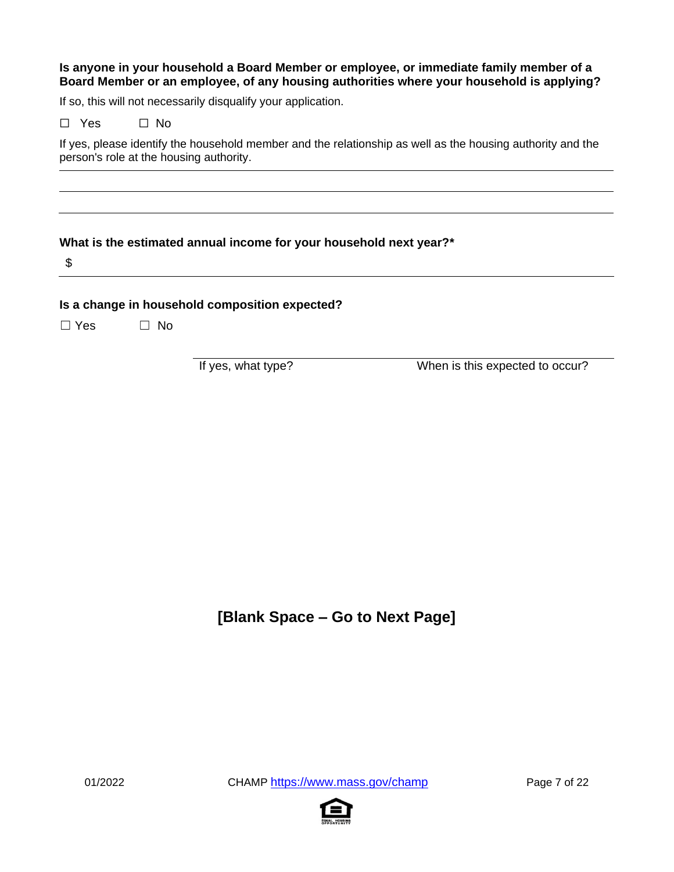#### **Is anyone in your household a Board Member or employee, or immediate family member of a Board Member or an employee, of any housing authorities where your household is applying?**

If so, this will not necessarily disqualify your application.

| □ No |
|------|
|      |

If yes, please identify the household member and the relationship as well as the housing authority and the person's role at the housing authority.

#### **What is the estimated annual income for your household next year?\***

\$

#### **Is a change in household composition expected?**

☐ Yes ☐ No

If yes, what type? When is this expected to occur?

### **[Blank Space – Go to Next Page]**

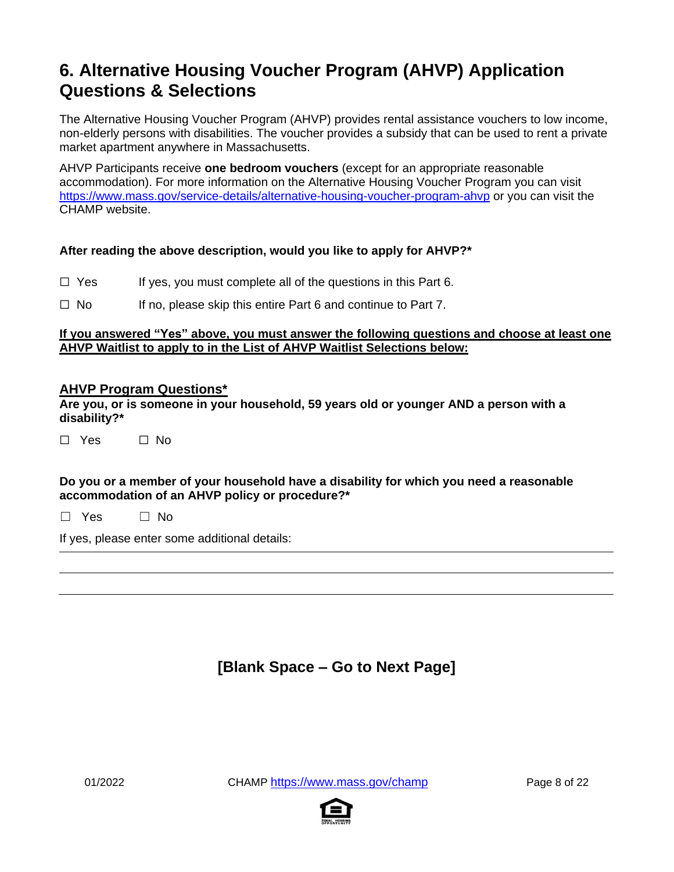# **6. Alternative Housing Voucher Program (AHVP) Application Questions & Selections**

The Alternative Housing Voucher Program (AHVP) provides rental assistance vouchers to low income, non-elderly persons with disabilities. The voucher provides a subsidy that can be used to rent a private market apartment anywhere in Massachusetts.

AHVP Participants receive **one bedroom vouchers** (except for an appropriate reasonable accommodation). For more information on the Alternative Housing Voucher Program you can visit <https://www.mass.gov/service-details/alternative-housing-voucher-program-ahvp> or you can visit the CHAMP website.

#### **After reading the above description, would you like to apply for AHVP?\***

- $\Box$  Yes If yes, you must complete all of the questions in this Part 6.
- $\Box$  No If no, please skip this entire Part 6 and continue to Part 7.

#### **If you answered "Yes" above, you must answer the following questions and choose at least one AHVP Waitlist to apply to in the List of AHVP Waitlist Selections below:**

#### **AHVP Program Questions\***

**Are you, or is someone in your household, 59 years old or younger AND a person with a disability?\***

|  | Yes. |  | ∩ No |
|--|------|--|------|
|--|------|--|------|

#### **Do you or a member of your household have a disability for which you need a reasonable accommodation of an AHVP policy or procedure?\***

 $\Box$  Yes  $\Box$  No

If yes, please enter some additional details:

### **[Blank Space – Go to Next Page]**

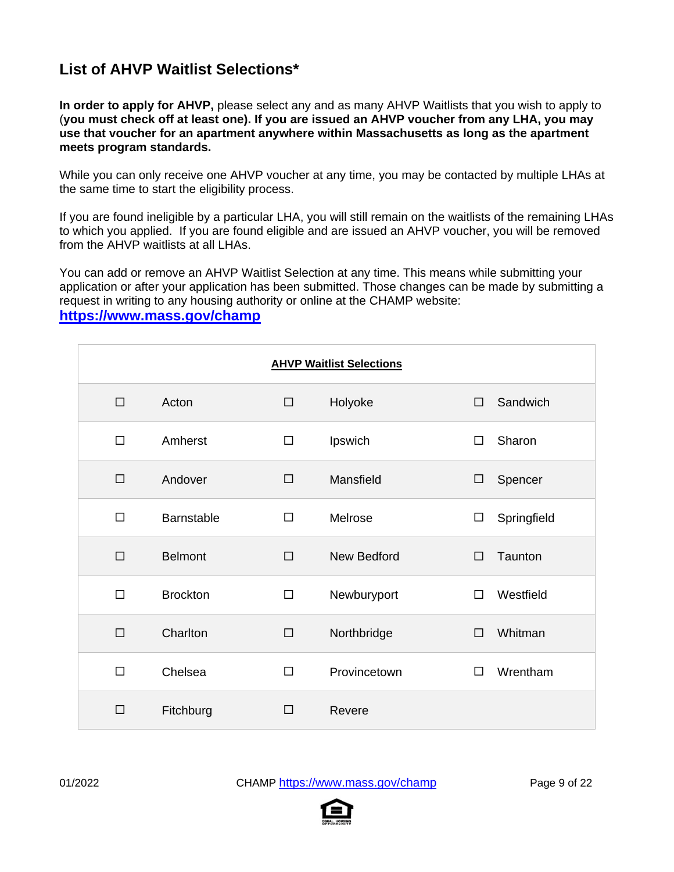### **List of AHVP Waitlist Selections\***

**In order to apply for AHVP,** please select any and as many AHVP Waitlists that you wish to apply to (**you must check off at least one). If you are issued an AHVP voucher from any LHA, you may use that voucher for an apartment anywhere within Massachusetts as long as the apartment meets program standards.**

While you can only receive one AHVP voucher at any time, you may be contacted by multiple LHAs at the same time to start the eligibility process.

If you are found ineligible by a particular LHA, you will still remain on the waitlists of the remaining LHAs to which you applied. If you are found eligible and are issued an AHVP voucher, you will be removed from the AHVP waitlists at all LHAs.

You can add or remove an AHVP Waitlist Selection at any time. This means while submitting your application or after your application has been submitted. Those changes can be made by submitting a request in writing to any housing authority or online at the CHAMP website:

#### **[https://www.mass.gov/champ](https://www.mass.gov/applyforpublichousing)**

| <b>AHVP Waitlist Selections</b> |                 |        |                    |        |             |  |  |
|---------------------------------|-----------------|--------|--------------------|--------|-------------|--|--|
| $\Box$                          | Acton           | $\Box$ | Holyoke            | $\Box$ | Sandwich    |  |  |
| $\Box$                          | Amherst         | □      | Ipswich            | $\Box$ | Sharon      |  |  |
| $\Box$                          | Andover         | □      | Mansfield          | $\Box$ | Spencer     |  |  |
| $\Box$                          | Barnstable      | П      | Melrose            | $\Box$ | Springfield |  |  |
| $\Box$                          | <b>Belmont</b>  | $\Box$ | <b>New Bedford</b> | $\Box$ | Taunton     |  |  |
| $\Box$                          | <b>Brockton</b> | □      | Newburyport        | $\Box$ | Westfield   |  |  |
| $\Box$                          | Charlton        | $\Box$ | Northbridge        | $\Box$ | Whitman     |  |  |
| $\Box$                          | Chelsea         | П      | Provincetown       | $\Box$ | Wrentham    |  |  |
| $\Box$                          | Fitchburg       | □      | Revere             |        |             |  |  |

01/2022 CHAMP <https://www.mass.gov/champ> Page 9 of 22

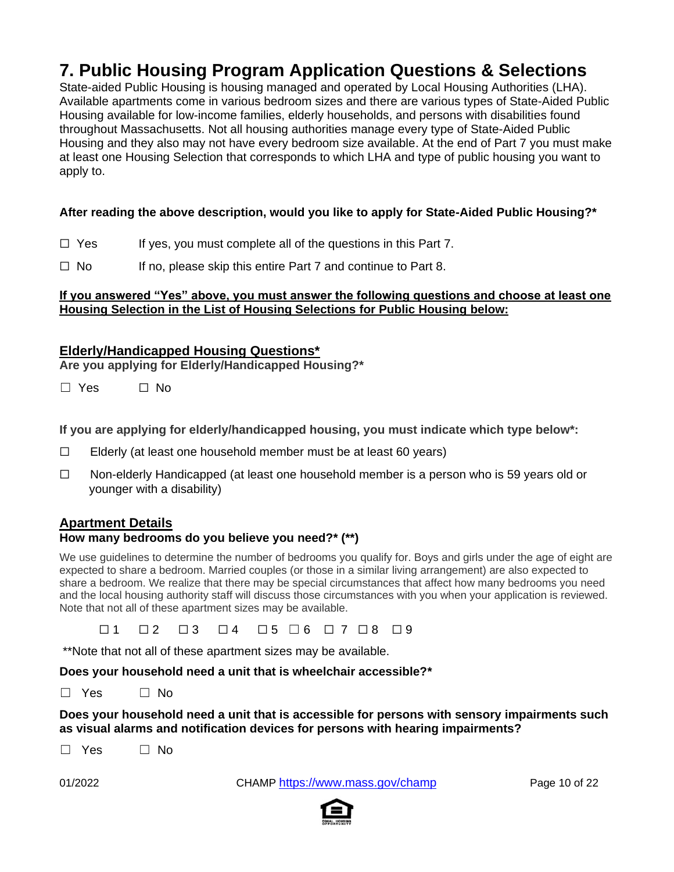# **7. Public Housing Program Application Questions & Selections**

State-aided Public Housing is housing managed and operated by Local Housing Authorities (LHA). Available apartments come in various bedroom sizes and there are various types of State-Aided Public Housing available for low-income families, elderly households, and persons with disabilities found throughout Massachusetts. Not all housing authorities manage every type of State-Aided Public Housing and they also may not have every bedroom size available. At the end of Part 7 you must make at least one Housing Selection that corresponds to which LHA and type of public housing you want to apply to.

#### **After reading the above description, would you like to apply for State-Aided Public Housing?\***

- $\Box$  Yes If yes, you must complete all of the questions in this Part 7.
- $\Box$  No If no, please skip this entire Part 7 and continue to Part 8.

#### **If you answered "Yes" above, you must answer the following questions and choose at least one Housing Selection in the List of Housing Selections for Public Housing below:**

#### **Elderly/Handicapped Housing Questions\***

**Are you applying for Elderly/Handicapped Housing?\***

☐ Yes ☐ No

**If you are applying for elderly/handicapped housing, you must indicate which type below\*:**

- $\Box$  Elderly (at least one household member must be at least 60 years)
- ☐ Non-elderly Handicapped (at least one household member is a person who is 59 years old or younger with a disability)

#### **Apartment Details**

#### **How many bedrooms do you believe you need?\* (\*\*)**

We use guidelines to determine the number of bedrooms you qualify for. Boys and girls under the age of eight are expected to share a bedroom. Married couples (or those in a similar living arrangement) are also expected to share a bedroom. We realize that there may be special circumstances that affect how many bedrooms you need and the local housing authority staff will discuss those circumstances with you when your application is reviewed. Note that not all of these apartment sizes may be available.

☐ 1 ☐ 2 ☐ 3 ☐ 4 ☐ 5 ☐ 6 ☐ 7 ☐ 8 ☐ 9

\*\*Note that not all of these apartment sizes may be available.

#### **Does your household need a unit that is wheelchair accessible?\***

☐ Yes ☐ No

**Does your household need a unit that is accessible for persons with sensory impairments such as visual alarms and notification devices for persons with hearing impairments?**

 $\Box$  Yes  $\Box$  No

01/2022 CHAMP <https://www.mass.gov/champ> Page 10 of 22

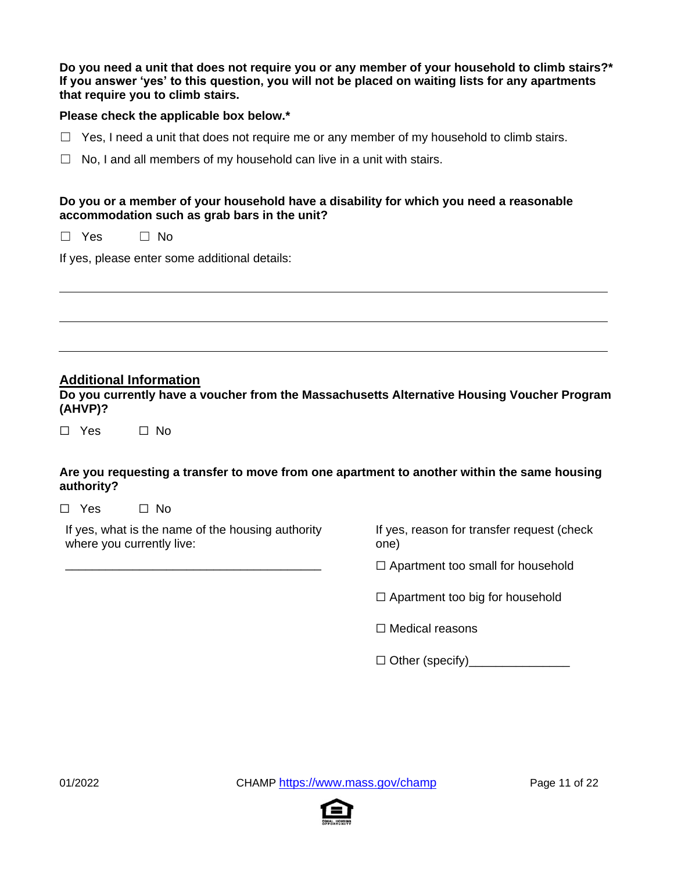| Do you need a unit that does not require you or any member of your household to climb stairs?*   |
|--------------------------------------------------------------------------------------------------|
| If you answer 'yes' to this question, you will not be placed on waiting lists for any apartments |
| that require you to climb stairs.                                                                |

#### **Please check the applicable box below.\***

- $\Box$  Yes, I need a unit that does not require me or any member of my household to climb stairs.
- $\Box$  No, I and all members of my household can live in a unit with stairs.

#### **Do you or a member of your household have a disability for which you need a reasonable accommodation such as grab bars in the unit?**

☐ Yes ☐ No

If yes, please enter some additional details:

#### **Additional Information**

**Do you currently have a voucher from the Massachusetts Alternative Housing Voucher Program (AHVP)?**

☐ Yes ☐ No

#### **Are you requesting a transfer to move from one apartment to another within the same housing authority?**

☐ Yes ☐ No

If yes, what is the name of the housing authority where you currently live:

\_\_\_\_\_\_\_\_\_\_\_\_\_\_\_\_\_\_\_\_\_\_\_\_\_\_\_\_\_\_\_\_\_\_\_\_\_\_

If yes, reason for transfer request (check one)

 $\Box$  Apartment too small for household

 $\Box$  Apartment too big for household

☐ Medical reasons

 $\Box$  Other (specify)

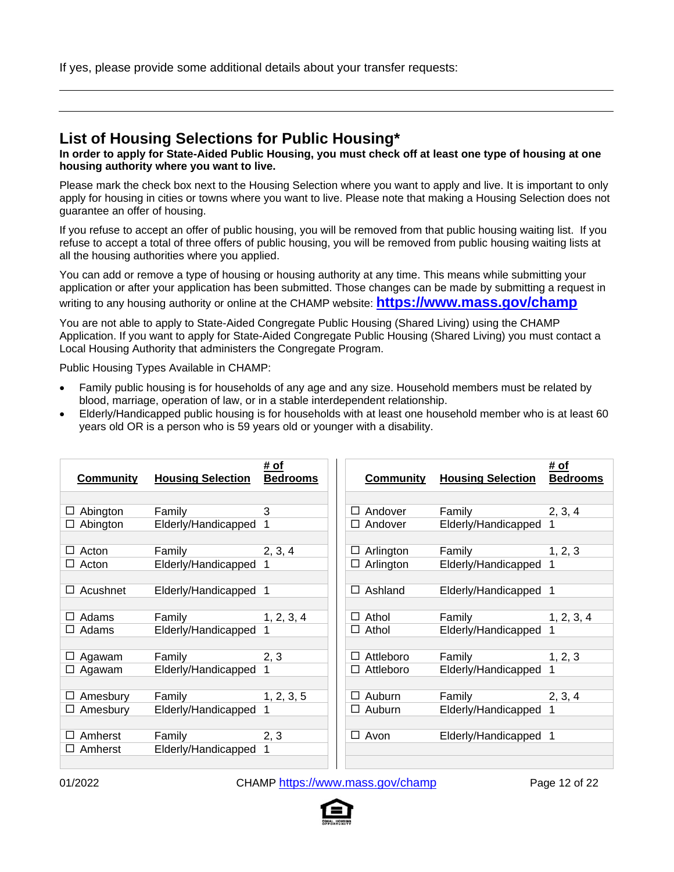If yes, please provide some additional details about your transfer requests:

### **List of Housing Selections for Public Housing\***

**In order to apply for State-Aided Public Housing, you must check off at least one type of housing at one housing authority where you want to live.**

Please mark the check box next to the Housing Selection where you want to apply and live. It is important to only apply for housing in cities or towns where you want to live. Please note that making a Housing Selection does not guarantee an offer of housing.

If you refuse to accept an offer of public housing, you will be removed from that public housing waiting list. If you refuse to accept a total of three offers of public housing, you will be removed from public housing waiting lists at all the housing authorities where you applied.

You can add or remove a type of housing or housing authority at any time. This means while submitting your application or after your application has been submitted. Those changes can be made by submitting a request in writing to any housing authority or online at the CHAMP website: **[https://www.mass.gov/champ](https://www.mass.gov/applyforpublichousing)**

You are not able to apply to State-Aided Congregate Public Housing (Shared Living) using the CHAMP Application. If you want to apply for State-Aided Congregate Public Housing (Shared Living) you must contact a Local Housing Authority that administers the Congregate Program.

Public Housing Types Available in CHAMP:

- Family public housing is for households of any age and any size. Household members must be related by blood, marriage, operation of law, or in a stable interdependent relationship.
- Elderly/Handicapped public housing is for households with at least one household member who is at least 60 years old OR is a person who is 59 years old or younger with a disability.

| <b>Community</b> | <b>Housing Selection</b> | # of<br><b>Bedrooms</b> | <b>Community</b>  | <b>Housing Selection</b> | <u># of</u><br><b>Bedrooms</b> |
|------------------|--------------------------|-------------------------|-------------------|--------------------------|--------------------------------|
|                  |                          |                         |                   |                          |                                |
| Abington<br>ப    | Family                   | 3                       | Andover<br>$\Box$ | Family                   | 2, 3, 4                        |
| Abington<br>⊔    | Elderly/Handicapped      | 1                       | Andover<br>⊔      | Elderly/Handicapped      |                                |
|                  |                          |                         |                   |                          |                                |
| Acton<br>ப       | Family                   | 2, 3, 4                 | Arlington<br>⊔    | Family                   | 1, 2, 3                        |
| Acton<br>ப       | Elderly/Handicapped      |                         | Arlington<br>⊔    | Elderly/Handicapped      |                                |
|                  |                          |                         |                   |                          |                                |
| Acushnet<br>⊔    | Elderly/Handicapped      | 1                       | Ashland<br>$\Box$ | Elderly/Handicapped      | -1                             |
|                  |                          |                         |                   |                          |                                |
| Adams<br>Ш       | Family                   | 1, 2, 3, 4              | Athol<br>□        | Family                   | 1, 2, 3, 4                     |
| Adams<br>⊔       | Elderly/Handicapped      |                         | Athol<br>⊔        | Elderly/Handicapped      |                                |
|                  |                          |                         |                   |                          |                                |
| Agawam<br>ப      | Family                   | 2, 3                    | Attleboro<br>Ш    | Family                   | 1, 2, 3                        |
| Agawam<br>⊔      | Elderly/Handicapped      | 1                       | Attleboro<br>⊔    | Elderly/Handicapped      | 1                              |
|                  |                          |                         |                   |                          |                                |
| Amesbury<br>ப    | Family                   | 1, 2, 3, 5              | Auburn<br>⊔       | Family                   | 2, 3, 4                        |
| Amesbury<br>⊔    | Elderly/Handicapped      |                         | Auburn<br>$\Box$  | Elderly/Handicapped      | 1                              |
|                  |                          |                         |                   |                          |                                |
| Amherst<br>LΙ    | Family                   | 2, 3                    | Avon<br>$\Box$    | Elderly/Handicapped      | -1                             |
| Amherst<br>Ħ     | Elderly/Handicapped      |                         |                   |                          |                                |
|                  |                          |                         |                   |                          |                                |

01/2022 CHAMP <https://www.mass.gov/champ> Page 12 of 22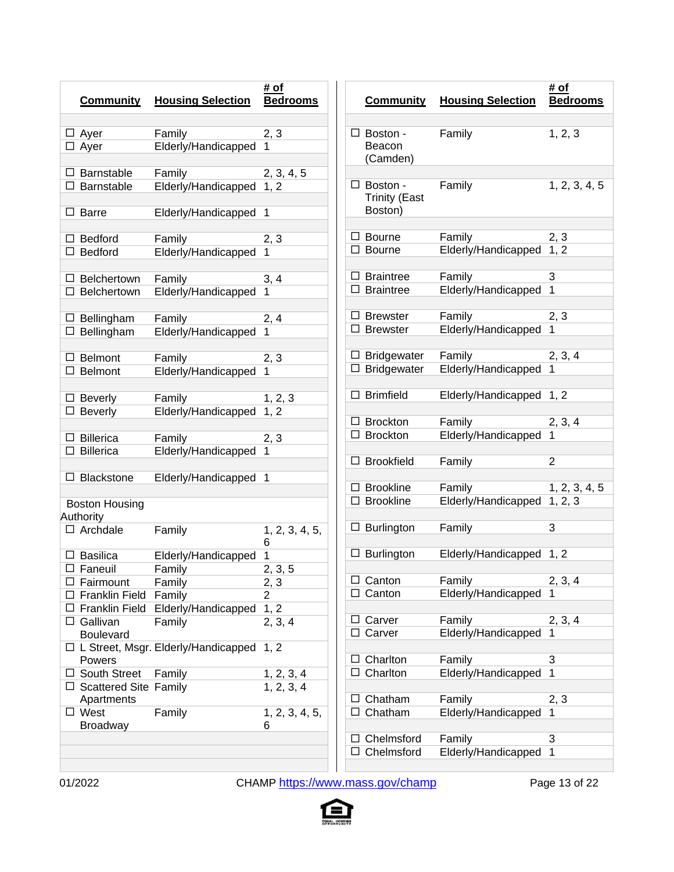| <b>Community</b>        | <b>Housing Selection</b>                                                                                                                                                                                                                                          | # of<br><b>Bedrooms</b>                                                                                                                                                                                                                                                                                                                                 |
|-------------------------|-------------------------------------------------------------------------------------------------------------------------------------------------------------------------------------------------------------------------------------------------------------------|---------------------------------------------------------------------------------------------------------------------------------------------------------------------------------------------------------------------------------------------------------------------------------------------------------------------------------------------------------|
|                         |                                                                                                                                                                                                                                                                   |                                                                                                                                                                                                                                                                                                                                                         |
|                         |                                                                                                                                                                                                                                                                   | 2, 3                                                                                                                                                                                                                                                                                                                                                    |
| $\Box$ Ayer             |                                                                                                                                                                                                                                                                   | 1                                                                                                                                                                                                                                                                                                                                                       |
|                         |                                                                                                                                                                                                                                                                   |                                                                                                                                                                                                                                                                                                                                                         |
| Barnstable              | Family                                                                                                                                                                                                                                                            | 2, 3, 4, 5                                                                                                                                                                                                                                                                                                                                              |
| Barnstable              | Elderly/Handicapped                                                                                                                                                                                                                                               | 1, 2                                                                                                                                                                                                                                                                                                                                                    |
|                         |                                                                                                                                                                                                                                                                   |                                                                                                                                                                                                                                                                                                                                                         |
| <b>Barre</b>            | Elderly/Handicapped                                                                                                                                                                                                                                               | 1                                                                                                                                                                                                                                                                                                                                                       |
|                         |                                                                                                                                                                                                                                                                   |                                                                                                                                                                                                                                                                                                                                                         |
| <b>Bedford</b>          | Family                                                                                                                                                                                                                                                            | 2, 3                                                                                                                                                                                                                                                                                                                                                    |
| $\Box$ Bedford          | Elderly/Handicapped                                                                                                                                                                                                                                               | 1                                                                                                                                                                                                                                                                                                                                                       |
|                         |                                                                                                                                                                                                                                                                   |                                                                                                                                                                                                                                                                                                                                                         |
| Belchertown             | Family                                                                                                                                                                                                                                                            | 3, 4                                                                                                                                                                                                                                                                                                                                                    |
| Belchertown             | Elderly/Handicapped                                                                                                                                                                                                                                               | 1                                                                                                                                                                                                                                                                                                                                                       |
|                         |                                                                                                                                                                                                                                                                   |                                                                                                                                                                                                                                                                                                                                                         |
| $\Box$ Bellingham       | Family                                                                                                                                                                                                                                                            | 2, 4                                                                                                                                                                                                                                                                                                                                                    |
| $\Box$ Bellingham       |                                                                                                                                                                                                                                                                   | 1                                                                                                                                                                                                                                                                                                                                                       |
|                         |                                                                                                                                                                                                                                                                   |                                                                                                                                                                                                                                                                                                                                                         |
| Belmont                 | Family                                                                                                                                                                                                                                                            | 2, 3                                                                                                                                                                                                                                                                                                                                                    |
| Belmont                 |                                                                                                                                                                                                                                                                   | 1                                                                                                                                                                                                                                                                                                                                                       |
|                         |                                                                                                                                                                                                                                                                   |                                                                                                                                                                                                                                                                                                                                                         |
| Beverly                 | Family                                                                                                                                                                                                                                                            | 1, 2, 3                                                                                                                                                                                                                                                                                                                                                 |
| <b>Beverly</b>          |                                                                                                                                                                                                                                                                   | 1, 2                                                                                                                                                                                                                                                                                                                                                    |
|                         |                                                                                                                                                                                                                                                                   |                                                                                                                                                                                                                                                                                                                                                         |
|                         | Family                                                                                                                                                                                                                                                            | 2, 3                                                                                                                                                                                                                                                                                                                                                    |
|                         |                                                                                                                                                                                                                                                                   | 1                                                                                                                                                                                                                                                                                                                                                       |
|                         |                                                                                                                                                                                                                                                                   |                                                                                                                                                                                                                                                                                                                                                         |
|                         |                                                                                                                                                                                                                                                                   | 1                                                                                                                                                                                                                                                                                                                                                       |
|                         |                                                                                                                                                                                                                                                                   |                                                                                                                                                                                                                                                                                                                                                         |
|                         |                                                                                                                                                                                                                                                                   |                                                                                                                                                                                                                                                                                                                                                         |
|                         |                                                                                                                                                                                                                                                                   |                                                                                                                                                                                                                                                                                                                                                         |
|                         |                                                                                                                                                                                                                                                                   | 1, 2, 3, 4, 5,                                                                                                                                                                                                                                                                                                                                          |
|                         |                                                                                                                                                                                                                                                                   | 6                                                                                                                                                                                                                                                                                                                                                       |
|                         |                                                                                                                                                                                                                                                                   | 1                                                                                                                                                                                                                                                                                                                                                       |
|                         |                                                                                                                                                                                                                                                                   | $\overline{2},$<br>3, 5                                                                                                                                                                                                                                                                                                                                 |
|                         |                                                                                                                                                                                                                                                                   | 2, 3                                                                                                                                                                                                                                                                                                                                                    |
|                         |                                                                                                                                                                                                                                                                   | 2                                                                                                                                                                                                                                                                                                                                                       |
|                         |                                                                                                                                                                                                                                                                   | 1, 2                                                                                                                                                                                                                                                                                                                                                    |
|                         |                                                                                                                                                                                                                                                                   | 2, 3, 4                                                                                                                                                                                                                                                                                                                                                 |
|                         |                                                                                                                                                                                                                                                                   |                                                                                                                                                                                                                                                                                                                                                         |
|                         |                                                                                                                                                                                                                                                                   | 1, 2                                                                                                                                                                                                                                                                                                                                                    |
|                         |                                                                                                                                                                                                                                                                   |                                                                                                                                                                                                                                                                                                                                                         |
|                         |                                                                                                                                                                                                                                                                   | 1, 2, 3, 4<br>1, 2, 3, 4                                                                                                                                                                                                                                                                                                                                |
| Apartments              |                                                                                                                                                                                                                                                                   |                                                                                                                                                                                                                                                                                                                                                         |
|                         |                                                                                                                                                                                                                                                                   |                                                                                                                                                                                                                                                                                                                                                         |
|                         |                                                                                                                                                                                                                                                                   |                                                                                                                                                                                                                                                                                                                                                         |
| West<br><b>Broadway</b> | Family                                                                                                                                                                                                                                                            | 1, 2, 3, 4, 5,<br>6                                                                                                                                                                                                                                                                                                                                     |
|                         | $\Box$ Ayer<br><b>Billerica</b><br>Billerica<br><b>Blackstone</b><br><b>Boston Housing</b><br>Authority<br>$\Box$ Archdale<br>$\Box$ Basilica<br>□ Faneuil<br>Fairmount<br><b>Franklin Field</b><br>$\Box$ Gallivan<br><b>Boulevard</b><br>Powers<br>South Street | Family<br>Elderly/Handicapped<br>Elderly/Handicapped<br>Elderly/Handicapped<br>Elderly/Handicapped<br>Elderly/Handicapped<br>Elderly/Handicapped<br>Family<br>Elderly/Handicapped<br><b>Family</b><br>Family<br>Family<br>Franklin Field Elderly/Handicapped<br>Family<br>L Street, Msgr. Elderly/Handicapped<br>Family<br><b>Scattered Site Family</b> |

|   | <b>Community</b>                                   | <b>Housing Selection</b> | # of<br><b>Bedrooms</b> |
|---|----------------------------------------------------|--------------------------|-------------------------|
|   |                                                    |                          |                         |
|   | $\Box$ Boston -<br>Beacon<br>(Camden)              | Family                   | 1, 2, 3                 |
|   |                                                    |                          |                         |
|   | $\Box$ Boston -<br><b>Trinity (East</b><br>Boston) | Family                   | 1, 2, 3, 4, 5           |
|   |                                                    |                          |                         |
| ⊔ | $\sqcup$ Bourne<br>Bourne                          | Family                   | 2, 3<br>1, 2            |
|   |                                                    | Elderly/Handicapped      |                         |
|   | $\Box$ Braintree                                   | Family                   | 3                       |
| Ш | <b>Braintree</b>                                   | Elderly/Handicapped      | 1                       |
|   |                                                    |                          |                         |
|   | $\sqcup$ Brewster                                  | Family                   | 2, 3                    |
|   | $\Box$ Brewster                                    | Elderly/Handicapped      | 1                       |
|   |                                                    |                          |                         |
|   | $\Box$ Bridgewater                                 | Family                   | 2, 3, 4                 |
|   | $\Box$ Bridgewater                                 | Elderly/Handicapped      | 1                       |
|   |                                                    |                          |                         |
| П | <b>Brimfield</b>                                   | Elderly/Handicapped      | 1, 2                    |
|   |                                                    |                          |                         |
|   | $\Box$ Brockton                                    | Family                   | 2, 3, 4<br>1            |
| П | <b>Brockton</b>                                    | Elderly/Handicapped      |                         |
| П | <b>Brookfield</b>                                  | Family                   | $\overline{2}$          |
|   |                                                    |                          |                         |
| П | <b>Brookline</b>                                   | Family                   | 1, 2, 3, 4, 5           |
| Ш | <b>Brookline</b>                                   | Elderly/Handicapped      | 1, 2, 3                 |
|   |                                                    |                          |                         |
| ப | Burlington                                         | Family                   | 3                       |
|   |                                                    |                          |                         |
| ப | <b>Burlington</b>                                  | Elderly/Handicapped      | 1, 2                    |
|   | Canton                                             | Family                   | 2, 3, 4                 |
|   | Canton                                             | Elderly/Handicapped      | 1                       |
|   |                                                    |                          |                         |
|   | Carver                                             | Family                   | 2, 3, 4                 |
| Ħ | Carver                                             | Elderly/Handicapped      | 1                       |
|   |                                                    |                          |                         |
| ப | Charlton                                           | Family                   | 3                       |
| □ | Charlton                                           | Elderly/Handicapped      | 1                       |
|   |                                                    |                          |                         |
| ப | Chatham                                            | Family                   | 2, 3<br>1               |
| □ | Chatham                                            | Elderly/Handicapped      |                         |
|   | Chelmsford                                         | Family                   | 3                       |
| Ħ | Chelmsford                                         | Elderly/Handicapped      | 1                       |
|   |                                                    |                          |                         |

01/2022 CHAMP <https://www.mass.gov/champ> Page 13 of 22

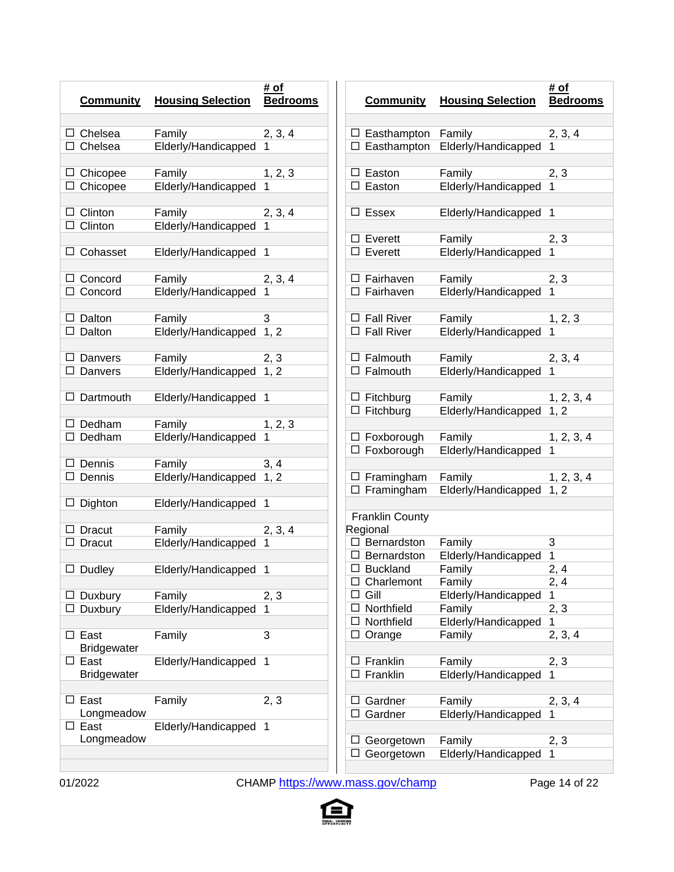| <b>Community</b>                  | <b>Housing Selection</b>      | # of<br><b>Bedrooms</b> | <u>ତ</u>                         |
|-----------------------------------|-------------------------------|-------------------------|----------------------------------|
| Chelsea<br>П                      | Family                        | 2, 3, 4                 | ПΕ                               |
| $\Box$ Chelsea                    | Elderly/Handicapped           | 1                       | $\square$ E                      |
| Chicopee<br>Ш                     | Family                        | 1, 2, 3                 | $\square$ E                      |
| $\Box$ Chicopee                   | Elderly/Handicapped           | 1                       | $\square$ E                      |
| Clinton<br>Ш                      | Family                        | 2, 3, 4                 | п<br>E                           |
| $\Box$ Clinton                    | Elderly/Handicapped           |                         | ΠЕ                               |
| Cohasset                          | Elderly/Handicapped           | 1                       | $\overline{\square}$ E           |
| $\Box$ Concord                    | Family                        | 2, 3, 4                 | $\square$ F                      |
| $\Box$ Concord                    | Elderly/Handicapped           | 1                       | $\square$ F                      |
| Dalton<br>$\perp$                 | Family                        | 3                       | $\square$ F                      |
| $\Box$ Dalton                     | Elderly/Handicapped           | 1, 2                    | $\square$ F                      |
| $\perp$<br>Danvers                | Family                        | 2, 3                    | $\square$ F                      |
| $\Box$ Danvers                    | Elderly/Handicapped           | 1, 2                    | $\overline{\Box}$ F.             |
| Dartmouth                         | Elderly/Handicapped           | 1                       | $\Box$ Fi<br>$\overline{\Box}$ F |
| Dedham                            | Family                        | 1, 2, 3                 |                                  |
| $\Box$ Dedham                     | Elderly/Handicapped           | 1                       | 口日<br>$\overline{\Box}$ F        |
| Dennis<br>$\perp$                 | Family                        | 3, 4                    |                                  |
| $\Box$ Dennis                     | Elderly/Handicapped           | 1, 2                    | $\square$ F<br>$\square$ F       |
| Dighton<br>Ħ                      | Elderly/Handicapped           | 1                       |                                  |
| Dracut                            | Family                        | 2, 3, 4                 | Fran<br>Regic                    |
| П<br>Dracut                       | Elderly/Handicapped           | 1                       | B                                |
| $\Box$ Dudley                     | Elderly/Handicapped           | 1                       | B<br>□<br>B                      |
| Duxbury                           |                               |                         | C<br>G                           |
| Duxbury                           | Family<br>Elderly/Handicapped | 2, 3<br>1               | N                                |
| East                              | Family                        | 3                       | N<br>O                           |
| <b>Bridgewater</b>                |                               |                         |                                  |
| $\Box$ East<br><b>Bridgewater</b> | Elderly/Handicapped           | 1                       | П<br>-F<br>E                     |
| $\square$ East                    | Family                        | 2, 3                    | ΙI<br>G                          |
| Longmeadow<br>$\square$ East      | Elderly/Handicapped           | 1                       | G                                |
| Longmeadow                        |                               |                         | G<br>П<br>G                      |
|                                   |                               |                         |                                  |

|        | <b>Community</b>                   | <b>Housing Selection</b>      | # of<br><b>Bedrooms</b> |
|--------|------------------------------------|-------------------------------|-------------------------|
|        |                                    |                               |                         |
|        | $\Box$ Easthampton                 | Family                        | 2, 3, 4                 |
|        | $\Box$ Easthampton                 | Elderly/Handicapped           | 1                       |
|        |                                    |                               |                         |
| П<br>п | Easton                             | Family                        | 2, 3                    |
|        | Easton                             | Elderly/Handicapped           | 1                       |
| П      | Essex                              | Elderly/Handicapped           | 1                       |
|        |                                    |                               |                         |
|        | $\Box$ Everett                     | Family                        | <u>2, 3</u>             |
|        | $\square$ Everett                  | Elderly/Handicapped           | 1                       |
|        | $\Box$ Fairhaven                   | Family                        | <u>2, 3</u>             |
|        | $\Box$ Fairhaven                   | Elderly/Handicapped           | 1                       |
|        |                                    |                               |                         |
|        | $\Box$ Fall River                  | Family                        | 1, 2, 3                 |
|        | $\Box$ Fall River                  | Elderly/Handicapped           | 1                       |
|        |                                    |                               |                         |
|        | $\Box$ Falmouth                    | Family                        | 2, 3, 4<br>1            |
|        | $\Box$ Falmouth                    | Elderly/Handicapped           |                         |
|        | $\Box$ Fitchburg                   | Family                        | 1, 2, 3, 4              |
|        | $\Box$ Fitchburg                   | Elderly/Handicapped           | 1, 2                    |
|        |                                    |                               |                         |
|        | $\Box$ Foxborough                  | Family                        | 1, 2, 3, 4              |
|        | $\Box$ Foxborough                  | Elderly/Handicapped           | 1                       |
|        | $\Box$ Framingham                  | Family                        | 1, 2, 3, 4              |
|        | $\Box$ Framingham                  | Elderly/Handicapped           | 1, 2                    |
|        |                                    |                               |                         |
|        | <b>Franklin County</b><br>Regional |                               |                         |
|        | $\Box$ Bernardston                 | Family                        | 3                       |
| Ш      | Bernardston                        | Elderly/Handicapped           | 1                       |
| □      | <b>Buckland</b>                    | Family                        | 2, 4                    |
| ⊔      | Charlemont                         | Family                        | 2, 4                    |
| П      | Gill                               | Elderly/Handicapped           | 1                       |
| □      | Northfield                         | Family                        | 2, 3                    |
| ப      | Northfield                         | Elderly/Handicapped           | 1                       |
| □      | Orange                             | Family                        | 2, 3, 4                 |
| ப      | Franklin                           | Family                        | 2, 3                    |
| П      | Franklin                           | Elderly/Handicapped           | 1                       |
|        |                                    |                               |                         |
| ப      | Gardner                            | Family                        | 2, 3, 4                 |
| □      | Gardner                            | Elderly/Handicapped           | 1                       |
|        |                                    |                               |                         |
| ⊔<br>□ | Georgetown                         | Family<br>Elderly/Handicapped | 2, 3<br>1               |
|        | Georgetown                         |                               |                         |

01/2022 CHAMP <https://www.mass.gov/champ> Page 14 of 22

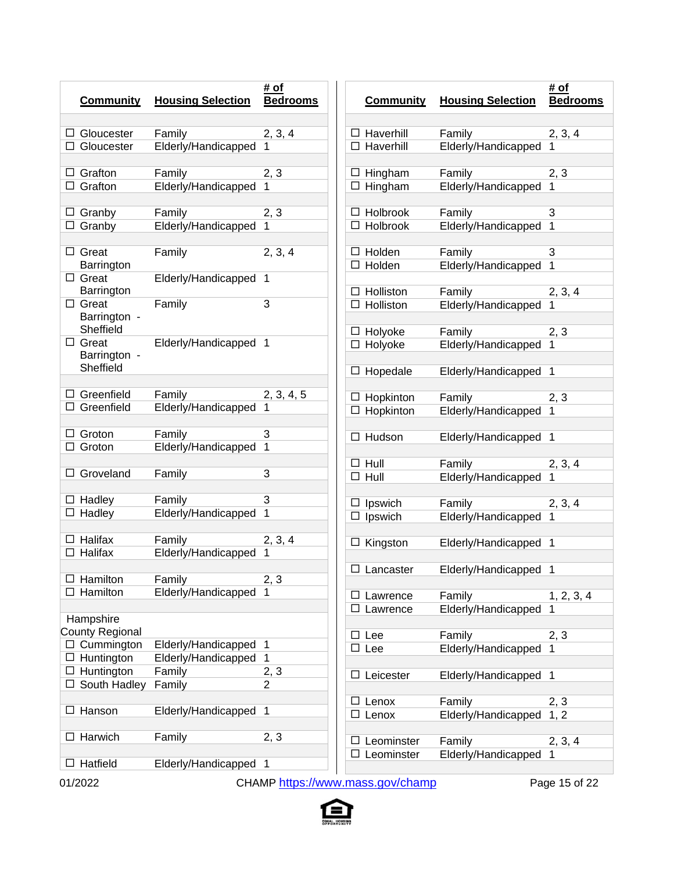| <b>Community</b>                       | <b>Housing Selection</b>                   | # of<br><b>Bedrooms</b> | <b>Community</b>                     | ŀ      |
|----------------------------------------|--------------------------------------------|-------------------------|--------------------------------------|--------|
| □ Gloucester                           | Family                                     | 2, 3, 4                 | $\Box$ Haverhill                     | F      |
| $\Box$ Gloucester                      | Elderly/Handicapped                        | 1                       | $\Box$ Haverhill                     | E      |
| $\Box$ Grafton                         | Family                                     | 2, 3                    | $\Box$ Hingham                       | F      |
| $\Box$ Grafton                         | Elderly/Handicapped                        | 1                       | $\Box$ Hingham                       | E      |
| $\Box$ Granby                          | Family                                     | 2, 3                    | $\Box$ Holbrook                      | F      |
| $\Box$ Granby                          | Elderly/Handicapped                        | 1                       | $\Box$ Holbrook                      | E      |
| $\Box$ Great<br>Barrington             | Family                                     | 2, 3, 4                 | $\Box$ Holden<br>$\Box$ Holden       | F<br>E |
| $\Box$ Great<br>Barrington             | Elderly/Handicapped                        | -1                      | $\Box$ Holliston                     |        |
| $\Box$ Great<br>Barrington -           | Family                                     | 3                       | $\Box$ Holliston                     | F<br>E |
| Sheffield<br>$\Box$ Great              | Elderly/Handicapped                        | $\mathbf{1}$            | $\Box$ Holyoke                       | F      |
| Barrington -<br>Sheffield              |                                            |                         | $\Box$ Holyoke                       | E      |
|                                        |                                            |                         | $\Box$ Hopedale                      | E      |
| $\Box$ Greenfield                      | Family                                     | 2, 3, 4, 5              | $\Box$ Hopkinton                     | F      |
| $\Box$ Greenfield                      | Elderly/Handicapped                        | 1                       | $\Box$ Hopkinton                     | E      |
| $\Box$ Groton                          | Family                                     | 3                       | $\Box$ Hudson                        | E      |
| Groton                                 | Elderly/Handicapped                        | 1                       |                                      |        |
| Groveland                              | Family                                     | 3                       | $\Box$ Hull                          | F      |
|                                        |                                            |                         | $\Box$ Hull                          | E      |
| $\Box$ Hadley                          | Family                                     | 3                       | $\Box$ Ipswich                       | F      |
| $\Box$ Hadley                          | Elderly/Handicapped                        | 1                       | $\Box$ Ipswich                       | E      |
| $\Box$ Halifax                         | Family                                     | 2, 3, 4                 | $\Box$ Kingston                      | E      |
| Halifax                                | Elderly/Handicapped                        | 1                       |                                      |        |
| $\Box$ Hamilton                        | Family                                     | 2, 3                    | $\Box$ Lancaster                     | E      |
| Hamilton                               | Elderly/Handicapped                        | 1                       |                                      |        |
|                                        |                                            |                         | ⊔<br>Lawrence<br>$\Box$<br>Lawrence  | F<br>E |
| Hampshire                              |                                            |                         |                                      |        |
| <b>County Regional</b>                 |                                            |                         | $\Box$ Lee                           | F      |
| $\Box$ Cummington<br>$\Box$ Huntington | Elderly/Handicapped<br>Elderly/Handicapped | 1<br>$\mathbf{1}$       | $\Box$ Lee                           | E      |
| $\Box$ Huntington                      | Family                                     | 2, 3                    |                                      |        |
| □ South Hadley                         | Family                                     | 2                       | Leicester                            | E      |
|                                        |                                            |                         | ⊔<br>Lenox                           | F      |
| Hanson<br>⊔                            | Elderly/Handicapped                        | 1                       | $\Box$ Lenox                         | E      |
| Harwich                                | Family                                     | 2, 3                    | Leominster<br>⊔<br>$\Box$ Leominster | F<br>E |
| Hatfield<br>⊔                          | Elderly/Handicapped                        | -1                      |                                      |        |
|                                        |                                            |                         |                                      |        |

|        | <b>Community</b>               | <b>Housing Selection</b> | # of<br><b>Bedrooms</b> |
|--------|--------------------------------|--------------------------|-------------------------|
|        |                                |                          |                         |
|        | □ Haverhill                    | Family                   | 2, 3, 4                 |
|        | □ Haverhill                    | Elderly/Handicapped      | 1                       |
|        | $\Box$ Hingham                 | Family                   | 2, 3                    |
|        | $\overline{\square}$ Hingham   | Elderly/Handicapped      | 1                       |
|        |                                |                          |                         |
|        | $\Box$ Holbrook                | Family                   | 3                       |
|        | $\Box$ Holbrook                | Elderly/Handicapped      | 1                       |
|        | $\Box$ Holden                  | Family                   | 3                       |
|        | $\overline{\Box}$ Holden       | Elderly/Handicapped      | 1                       |
|        |                                |                          |                         |
|        | $\Box$ Holliston               | Family                   | 2, 3, 4                 |
|        | $\overline{\square}$ Holliston | Elderly/Handicapped      |                         |
|        | □ Holyoke                      | Family                   | 2, 3                    |
|        | □ Holyoke                      | Elderly/Handicapped      |                         |
|        |                                |                          |                         |
| $\Box$ | Hopedale                       | Elderly/Handicapped      | 1                       |
|        | $\Box$ Hopkinton               | Family                   | 2, 3                    |
|        | $\overline{\Box}$ Hopkinton    | Elderly/Handicapped      |                         |
| $\Box$ | Hudson                         | Elderly/Handicapped      | 1                       |
|        | $\Box$ Hull                    | Family                   | 2, 3, 4                 |
|        | $\Box$ Hull                    | Elderly/Handicapped      |                         |
|        |                                |                          |                         |
| □      | Ipswich                        | Family                   | 2, 3, 4                 |
| □      | Ipswich                        | Elderly/Handicapped      |                         |
|        |                                |                          |                         |
|        | $\Box$ Kingston                | Elderly/Handicapped      | 1                       |
|        | $\Box$ Lancaster               | Elderly/Handicapped      | 1                       |
|        |                                |                          |                         |
|        | Lawrence                       | Family                   | 1, 2, 3, 4              |
|        | Lawrence                       | Elderly/Handicapped      | 1                       |
|        | Lee                            | Family                   | 2, 3                    |
|        | Lee                            | Elderly/Handicapped      | 1                       |
|        |                                |                          |                         |
|        | Leicester                      | Elderly/Handicapped      | 1                       |
|        | Lenox                          | Family                   | 2, 3                    |
|        | Lenox                          | Elderly/Handicapped      | 1, 2                    |
|        |                                |                          |                         |
|        | Leominster                     | Family                   | 2, 3, 4                 |
|        | Leominster                     | Elderly/Handicapped      | 1                       |

01/2022 CHAMP <https://www.mass.gov/champ> Page 15 of 22

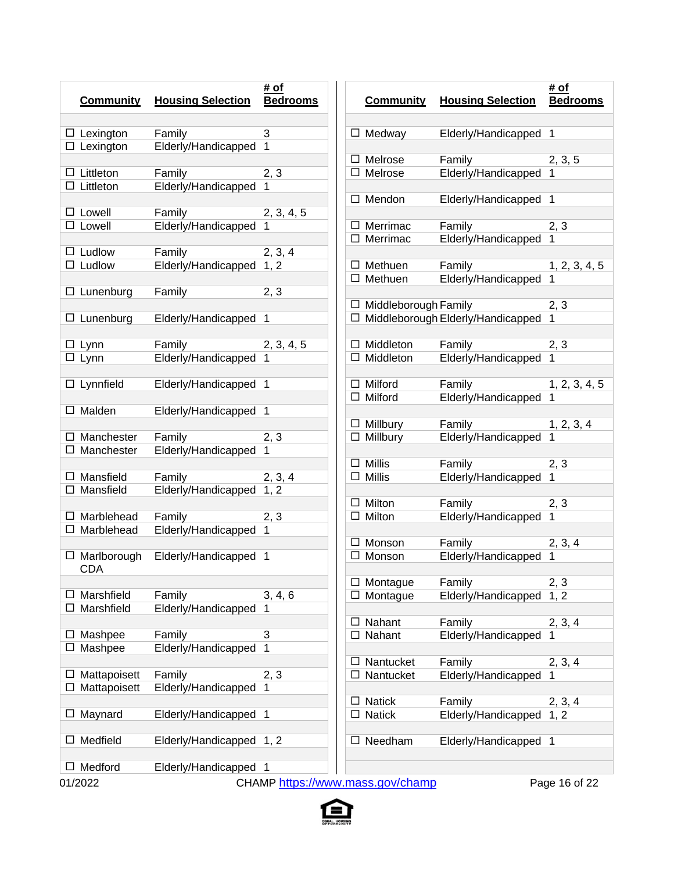| <b>Community</b>                     | <b>Housing Selection</b>      | # of<br><b>Bedrooms</b> |        |
|--------------------------------------|-------------------------------|-------------------------|--------|
|                                      |                               |                         |        |
| $\Box$ Lexington                     | Family                        | 3                       | П      |
| $\Box$ Lexington                     | Elderly/Handicapped           | 1                       |        |
|                                      |                               |                         | п      |
| Littleton<br>⊔<br>Littleton<br>П     | Family<br>Elderly/Handicapped | 2, 3<br>1               |        |
|                                      |                               |                         | п      |
| Lowell<br>⊔                          | Family                        | 2, 3, 4, 5              |        |
| $\Box$ Lowell                        | Elderly/Handicapped           | 1                       | П      |
|                                      |                               |                         | П      |
| Ludlow<br>⊔                          | Family                        | 2, 3, 4                 |        |
| $\Box$ Ludlow                        | Elderly/Handicapped           | 1, 2                    | П      |
|                                      |                               |                         | П      |
| ப<br>Lunenburg                       | Family                        | 2, 3                    | П      |
| Lunenburg<br>ப                       | Elderly/Handicapped           | 1                       | П      |
|                                      |                               |                         |        |
| ப<br>Lynn                            | Family                        | 2, 3, 4, 5              | П      |
| Lynn                                 | Elderly/Handicapped           | 1                       | П      |
|                                      |                               |                         |        |
| Lynnfield<br>⊔                       | Elderly/Handicapped           | 1                       | П<br>П |
| Malden<br>ப                          |                               | 1                       |        |
|                                      | Elderly/Handicapped           |                         | П      |
| $\Box$ Manchester                    | Family                        | 2, 3                    | П      |
| П<br>Manchester                      | Elderly/Handicapped           | 1                       |        |
|                                      |                               |                         | П      |
| $\Box$ Mansfield                     | Family                        | 2, 3, 4                 | П      |
| Mansfield<br>□                       | Elderly/Handicapped           | 1, 2                    |        |
|                                      |                               |                         | П<br>П |
| $\Box$ Marblehead<br>Marblehead<br>П | Family<br>Elderly/Handicapped | 2, 3<br>1               |        |
|                                      |                               |                         | П      |
| $\Box$ Marlborough                   | Elderly/Handicapped           | 1                       | П      |
| <b>CDA</b>                           |                               |                         |        |
|                                      |                               |                         | ப      |
| Marshfield                           | Family                        | 3, 4, 6                 | П      |
| Marshfield                           | Elderly/Handicapped           | 1                       |        |
| Mashpee                              | Family                        | 3                       | П      |
| Mashpee                              | Elderly/Handicapped           | 1                       |        |
|                                      |                               |                         |        |
| Mattapoisett                         | Family                        | 2, 3                    | П      |
| Mattapoisett                         | Elderly/Handicapped           | 1                       |        |
|                                      |                               |                         |        |
| Maynard                              | Elderly/Handicapped           | 1                       |        |
| Medfield                             |                               |                         |        |
|                                      | Elderly/Handicapped           | 1, 2                    |        |
| Medford                              | Elderly/Handicapped           | 1                       |        |
|                                      |                               |                         |        |

|        | <b>Community</b>     | <b>Housing Selection</b>          | # of<br><b>Bedrooms</b> |
|--------|----------------------|-----------------------------------|-------------------------|
|        |                      |                                   |                         |
|        | $\Box$ Medway        | Elderly/Handicapped               | 1                       |
| ப      | Melrose              | Family                            | 2, 3, 5                 |
| П      | Melrose              | Elderly/Handicapped               | 1                       |
| □      | Mendon               |                                   | 1                       |
|        |                      | Elderly/Handicapped               |                         |
| ப      | Merrimac             | Family                            | <u>2, 3</u>             |
| □      | Merrimac             | Elderly/Handicapped               | 1                       |
| ப      | Methuen              | Family                            | 1, 2, 3, 4, 5           |
| □      | Methuen              | Elderly/Handicapped               | 1                       |
|        |                      |                                   |                         |
| □      | Middleborough Family |                                   | <u>2, 3</u>             |
| □      |                      | Middleborough Elderly/Handicapped | 1                       |
| □      | Middleton            | Family                            | <u>2, 3</u>             |
| П      | Middleton            | Elderly/Handicapped               | 1                       |
|        |                      |                                   |                         |
| □      | Milford              | Family                            | 1, 2, 3, 4, 5           |
| $\Box$ | Milford              | Elderly/Handicapped               | 1                       |
|        | $\Box$ Millbury      | Family                            | 1, 2, 3, 4              |
| □      | Millbury             | Elderly/Handicapped               | 1                       |
|        |                      |                                   |                         |
| ப      | Millis               | Family                            | <u>2, 3</u>             |
| ◻      | <b>Millis</b>        | Elderly/Handicapped               | 1                       |
| ப      | Milton               | Family                            | <u>2, 3</u>             |
| □      | Milton               | Elderly/Handicapped               | 1                       |
|        |                      |                                   |                         |
| ப<br>□ | Monson<br>Monson     | Family<br>Elderly/Handicapped     | 2, 3, 4<br>1            |
|        |                      |                                   |                         |
|        | Montague             | Family                            | 2, 3                    |
|        | Montague             | Elderly/Handicapped               | 1, 2                    |
| ⊔      | Nahant               | Family                            | 2, 3, 4                 |
| □      | Nahant               | Elderly/Handicapped               | 1                       |
|        |                      |                                   |                         |
| ⊔      | Nantucket            | Family                            | 2, 3, 4                 |
| ப      | Nantucket            | Elderly/Handicapped               | 1                       |
|        | <b>Natick</b>        | Family                            | 2, 3, 4                 |
| ப      | <b>Natick</b>        | Elderly/Handicapped               | 1, 2                    |
|        |                      |                                   |                         |
|        | Needham              | Elderly/Handicapped               | 1                       |
|        |                      |                                   |                         |

01/2022 CHAMP <https://www.mass.gov/champ> Page 16 of 22

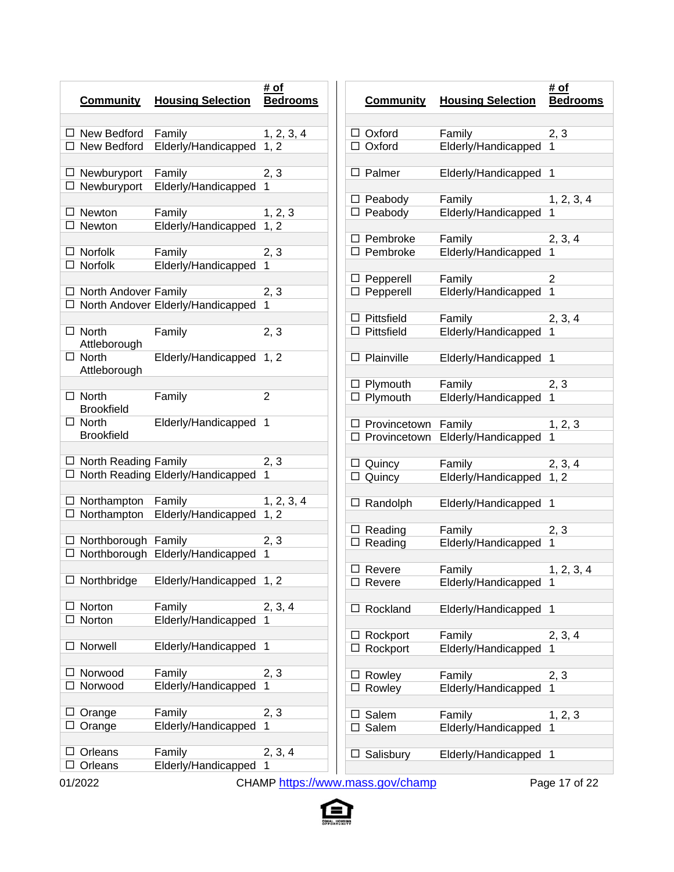|         | <b>Community</b>                  | <b>Housing Selection</b>            | # of<br><b>Bedrooms</b> |  |
|---------|-----------------------------------|-------------------------------------|-------------------------|--|
|         | $\Box$ New Bedford                | Family                              | 1, 2, 3, 4              |  |
|         | $\Box$ New Bedford                | Elderly/Handicapped 1, 2            |                         |  |
|         | $\Box$ Newburyport                | Family                              | 2, 3                    |  |
|         | $\Box$ Newburyport                | Elderly/Handicapped                 |                         |  |
|         | $\Box$ Newton                     | Family                              | 1, 2, 3                 |  |
|         | $\Box$ Newton                     | Elderly/Handicapped                 | 1, 2                    |  |
|         | $\Box$ Norfolk                    | Family                              | 2, 3                    |  |
|         | $\overline{\Box}$ Norfolk         | Elderly/Handicapped                 | 1                       |  |
|         | $\Box$ North Andover Family       |                                     | 2, 3                    |  |
|         |                                   | □ North Andover Elderly/Handicapped |                         |  |
|         | $\Box$ North                      | Family                              | 2, 3                    |  |
|         | Attleborough                      |                                     |                         |  |
|         | $\Box$ North                      | Elderly/Handicapped 1, 2            |                         |  |
|         | Attleborough                      |                                     |                         |  |
|         | $\Box$ North                      | Family                              | 2                       |  |
|         | <b>Brookfield</b><br>$\Box$ North | Elderly/Handicapped                 | 1                       |  |
|         | <b>Brookfield</b>                 |                                     |                         |  |
|         | $\Box$ North Reading Family       |                                     | 2, 3                    |  |
|         |                                   | □ North Reading Elderly/Handicapped | 1                       |  |
|         | $\Box$ Northampton                | Family                              | 1, 2, 3, 4              |  |
|         | $\Box$ Northampton                | Elderly/Handicapped                 | 1, 2                    |  |
|         | $\Box$ Northborough Family        |                                     | 2, 3                    |  |
|         |                                   | □ Northborough Elderly/Handicapped  | 1                       |  |
|         |                                   |                                     |                         |  |
| ப       | Northbridge                       | Elderly/Handicapped 1, 2            |                         |  |
| ⊔       | Norton                            | Family                              | 2, 3, 4                 |  |
|         | Norton                            | Elderly/Handicapped                 |                         |  |
| □       | Norwell                           | Elderly/Handicapped                 | 1                       |  |
|         |                                   |                                     |                         |  |
| ⊔<br>⊓  | Norwood<br>Norwood                | Family<br>Elderly/Handicapped       | 2, 3<br>1               |  |
|         |                                   |                                     |                         |  |
| ⊔       | Orange<br>Orange                  | Family<br>Elderly/Handicapped       | 2, 3<br>1               |  |
|         |                                   |                                     |                         |  |
| ⊔<br>LI | Orleans                           | Family<br>Elderly/Handicapped       | 2, 3, 4<br>1            |  |
|         | Orleans                           |                                     |                         |  |

|   | <b>Community</b>     | <b>Housing Selection</b> | # of<br><b>Bedrooms</b> |
|---|----------------------|--------------------------|-------------------------|
|   | $\Box$ Oxford        |                          |                         |
|   |                      | Family                   | 2, 3                    |
|   | $\Box$ Oxford        | Elderly/Handicapped      | 1                       |
| □ | Palmer               | Elderly/Handicapped      | 1                       |
|   | $\Box$ Peabody       | Family                   | 1, 2, 3, 4              |
|   | $\Box$ Peabody       | Elderly/Handicapped      | 1                       |
|   | $\Box$ Pembroke      | Family                   | 2, 3, 4                 |
|   | $\Box$ Pembroke      | Elderly/Handicapped      | 1                       |
|   | $\Box$ Pepperell     | Family                   | 2                       |
|   | $\Box$ Pepperell     | Elderly/Handicapped      | $\overline{1}$          |
|   | $\Box$ Pittsfield    | Family                   | 2, 3, 4                 |
|   | $\square$ Pittsfield | Elderly/Handicapped      |                         |
|   |                      |                          |                         |
| □ | Plainville           | Elderly/Handicapped      | 1                       |
|   | $\Box$ Plymouth      | Family                   | 2, 3                    |
|   | $\Box$ Plymouth      | Elderly/Handicapped      |                         |
|   | □ Provincetown       | Family                   | 1, 2, 3                 |
|   | □ Provincetown       | Elderly/Handicapped      | 1                       |
|   |                      |                          |                         |
|   | $\Box$ Quincy        | Family                   | 2, 3, 4                 |
|   | $\Box$ Quincy        | Elderly/Handicapped      | 1, 2                    |
| □ | Randolph             | Elderly/Handicapped      | 1                       |
|   |                      |                          |                         |
|   | $\Box$ Reading       | Family                   | 2, 3                    |
|   | $\Box$ Reading       | Elderly/Handicapped      | 1                       |
|   | $\Box$ Revere        | Family                   | 1, 2, 3, 4              |
|   | Revere               | Elderly/Handicapped      | 1                       |
|   |                      |                          |                         |
|   | Rockland             | Elderly/Handicapped      | 1                       |
|   | Rockport             | Family                   | 2, 3, 4                 |
|   | Rockport             | Elderly/Handicapped      | 1                       |
|   | Rowley               | Family                   | <u>2, 3</u>             |
|   | Rowley               | Elderly/Handicapped      | 1                       |
|   | Salem                | Family                   | 1, 2, 3                 |
|   | Salem                | Elderly/Handicapped      | 1                       |
|   |                      |                          |                         |
|   | Salisbury            | Elderly/Handicapped      | 1                       |

01/2022 CHAMP <https://www.mass.gov/champ> Page 17 of 22

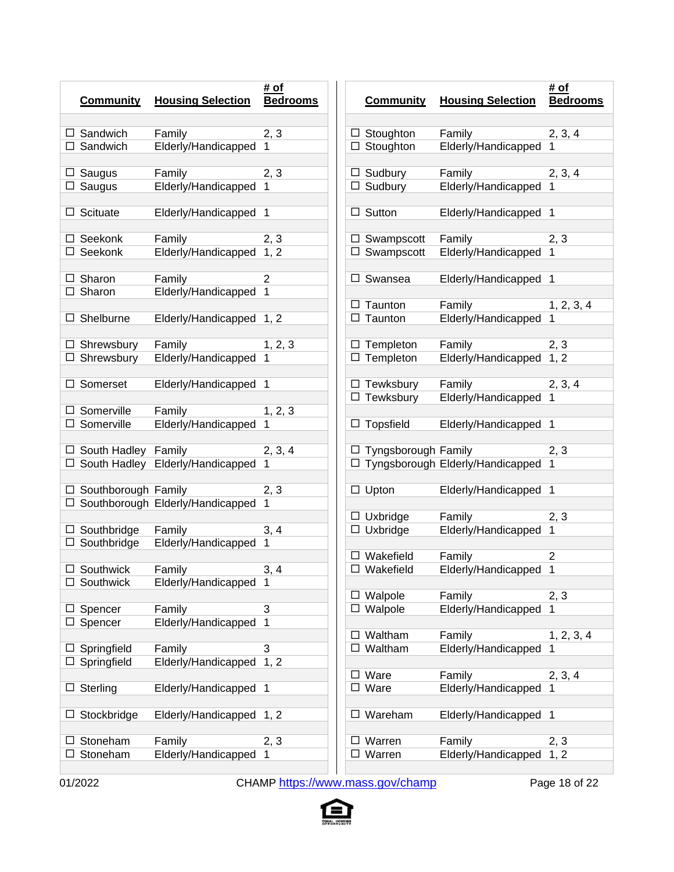| <b>Community</b>           | <b>Housing Selection</b>           | # of<br><b>Bedrooms</b> |
|----------------------------|------------------------------------|-------------------------|
| $\Box$ Sandwich            | Family                             | 2, 3                    |
| $\Box$ Sandwich            | Elderly/Handicapped                | 1                       |
|                            |                                    |                         |
| $\Box$ Saugus              | Family                             | 2, 3                    |
| $\Box$ Saugus              | Elderly/Handicapped                | 1                       |
|                            |                                    |                         |
| Scituate<br>⊔              | Elderly/Handicapped                | 1                       |
| $\Box$ Seekonk             |                                    |                         |
| $\Box$ Seekonk             | Family                             | 2, 3                    |
|                            | Elderly/Handicapped                | 1, 2                    |
| $\Box$ Sharon              | Family                             | 2                       |
| $\Box$ Sharon              | Elderly/Handicapped                | 1                       |
|                            |                                    |                         |
| Shelburne<br>ப             | Elderly/Handicapped                | 1, 2                    |
|                            |                                    |                         |
| $\Box$ Shrewsbury          | Family                             | 1, 2, 3                 |
| $\Box$ Shrewsbury          | Elderly/Handicapped                | 1                       |
|                            |                                    |                         |
| Somerset<br>⊔              | Elderly/Handicapped                | 1                       |
| $\Box$ Somerville          |                                    |                         |
| $\Box$ Somerville          | Family<br>Elderly/Handicapped      | 1, 2, 3<br>1            |
|                            |                                    |                         |
| $\Box$ South Hadley Family |                                    | 2, 3, 4                 |
|                            | □ South Hadley Elderly/Handicapped | 1                       |
|                            |                                    |                         |
| $\Box$ Southborough Family |                                    | 2, 3                    |
|                            | □ Southborough Elderly/Handicapped | 1                       |
|                            |                                    |                         |
| $\Box$ Southbridge         | Family                             | 3, 4                    |
| $\Box$ Southbridge         | Elderly/Handicapped                | 1                       |
|                            |                                    |                         |
| $\Box$ Southwick           | Family                             | 3, 4                    |
| Southwick                  | Elderly/Handicapped                | 1                       |
| Spencer                    | Family                             | 3                       |
| Spencer                    | Elderly/Handicapped                | 1                       |
|                            |                                    |                         |
| Springfield                | Family                             | 3                       |
| Springfield                | Elderly/Handicapped                | 1, 2                    |
|                            |                                    |                         |
| L<br>Sterling              | Elderly/Handicapped                | 1                       |
|                            |                                    |                         |
| Stockbridge                | Elderly/Handicapped                | 1, 2                    |
|                            |                                    |                         |
| Stoneham                   | Family                             | 2, 3                    |
| Stoneham                   | Elderly/Handicapped                | 1                       |
|                            |                                    |                         |

|        | <b>Community</b>      |                                  | # of            |
|--------|-----------------------|----------------------------------|-----------------|
|        |                       | <b>Housing Selection</b>         | <b>Bedrooms</b> |
|        |                       |                                  |                 |
|        | $\Box$ Stoughton      | Family                           | 2, 3, 4         |
| ◘      | Stoughton             | Elderly/Handicapped              | 1               |
| □      | Sudbury               | Family                           | 2, 3, 4         |
| ◘      | Sudbury               | Elderly/Handicapped              | 1               |
| ப      | Sutton                | Elderly/Handicapped              | 1               |
|        |                       |                                  |                 |
|        | $\Box$ Swampscott     | Family                           | 2, 3            |
| П      | Swampscott            | Elderly/Handicapped              | 1               |
|        |                       |                                  |                 |
| ப      | Swansea               | Elderly/Handicapped              | 1               |
| ⊔      | Taunton               | Family                           | 1, 2, 3, 4      |
| П      | Taunton               | Elderly/Handicapped              | 1               |
|        |                       |                                  |                 |
|        | $\Box$ Templeton      | Family                           | <u>2, 3</u>     |
| □      | Templeton             | Elderly/Handicapped              | 1, 2            |
|        | $\Box$ Tewksbury      | Family                           | 2, 3, 4         |
| □      | Tewksbury             | Elderly/Handicapped              | 1               |
|        |                       |                                  |                 |
| ப      | <b>Topsfield</b>      | Elderly/Handicapped              | 1               |
|        | □ Tyngsborough Family |                                  | 2, 3            |
| □      |                       | Tyngsborough Elderly/Handicapped | 1               |
|        |                       |                                  |                 |
| □      | Upton                 | Elderly/Handicapped              | 1               |
|        |                       |                                  |                 |
| ப<br>◘ | Uxbridge<br>Uxbridge  | Family                           | 2, 3<br>1       |
|        |                       | Elderly/Handicapped              |                 |
|        | Wakefield             | Family                           | 2               |
| □      | Wakefield             | Elderly/Handicapped              | 1               |
|        |                       |                                  |                 |
|        | Walpole               | Family<br>Elderly/Handicapped    | 2, 3<br>1       |
|        | Walpole               |                                  |                 |
|        | Waltham               | Family                           | 1, 2, 3, 4      |
| Ш      | Waltham               | Elderly/Handicapped              |                 |
|        | Ware                  | Family                           |                 |
|        | Ware                  | Elderly/Handicapped              | 2, 3, 4         |
|        |                       |                                  |                 |
|        | Wareham               | Elderly/Handicapped              | 1               |
|        |                       |                                  |                 |
|        | Warren                | Family                           | 2, 3            |
|        | Warren                | Elderly/Handicapped              | 1, 2            |

01/2022 CHAMP <https://www.mass.gov/champ> Page 18 of 22

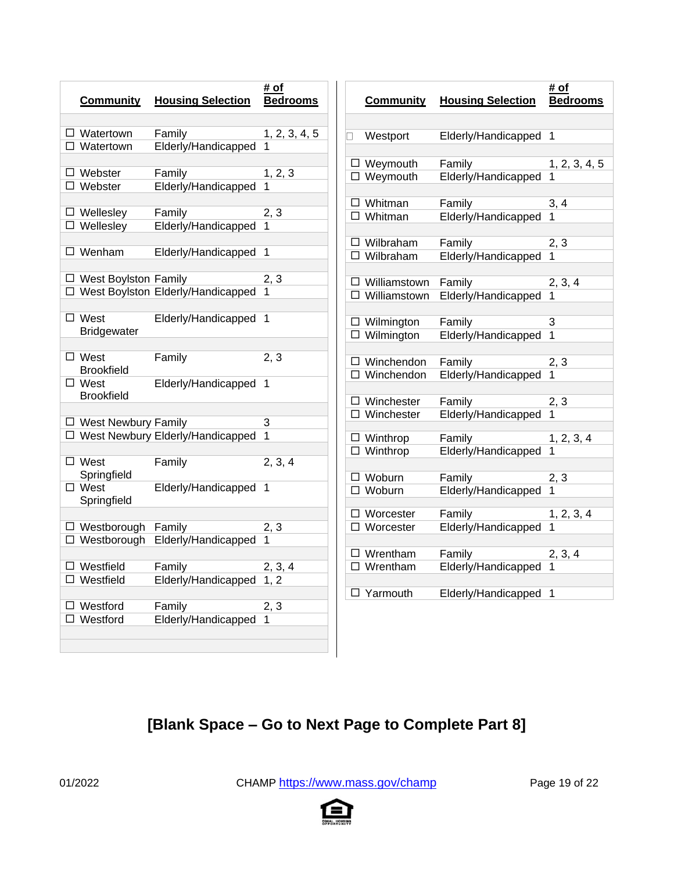| <b>Community</b>                 | <b>Housing Selection</b>            | # of<br><b>Bedrooms</b> | <b>Commu</b>                   |
|----------------------------------|-------------------------------------|-------------------------|--------------------------------|
| $\Box$ Watertown                 | Family                              | 1, 2, 3, 4, 5           | Westpor<br>$\mathsf{L}$        |
| $\Box$ Watertown                 | Elderly/Handicapped                 | 1                       |                                |
| $\Box$ Webster                   | Family                              | 1, 2, 3                 | □ Weymou                       |
| $\Box$ Webster                   | Elderly/Handicapped                 | 1                       | □ Weymou                       |
| $\Box$ Wellesley                 | Family                              | 2, 3                    | $\square$ Whitmar<br>□ Whitmar |
| $\overline{\square}$ Wellesley   | Elderly/Handicapped                 | 1                       |                                |
| $\Box$ Wenham                    | Elderly/Handicapped                 | 1                       | $\Box$ Wilbraha                |
|                                  |                                     |                         | $\Box$ Wilbraha                |
| $\Box$ West Boylston Family      |                                     | 2, 3                    | $\Box$ Williams                |
|                                  | □ West Boylston Elderly/Handicapped | 1                       | $\Box$ Williams                |
| $\Box$ West                      | Elderly/Handicapped                 | 1                       | $\Box$ Wilming                 |
| <b>Bridgewater</b>               |                                     |                         | $\overline{\square}$ Wilming   |
| $\Box$ West                      | Family                              | 2, 3                    | □ Wincher                      |
| <b>Brookfield</b><br>$\Box$ West | Elderly/Handicapped                 | 1                       | $\overline{\Box}$ Wincher      |
| <b>Brookfield</b>                |                                     |                         | $\Box$ Winches                 |
| $\Box$ West Newbury Family       |                                     | 3                       | $\overline{\Box}$ Winches      |
|                                  | □ West Newbury Elderly/Handicapped  | 1                       | $\Box$ Winthrop                |
| $\overline{\Box}$ West           | Family                              | 2, 3, 4                 | $\Box$ Winthrop                |
| Springfield                      |                                     |                         | □ Woburn                       |
| $\square$ West<br>Springfield    | Elderly/Handicapped                 | 1                       | $\Box$ Woburn                  |
|                                  |                                     |                         | $\Box$ Worcest                 |
| □ Westborough Family             |                                     | 2, 3                    | □ Worcest                      |
|                                  | □ Westborough Elderly/Handicapped   | 1                       | $\square$ Wrentha              |
| $\Box$ Westfield                 | Family                              | 2, 3, 4                 | $\square$ Wrentha              |
| Westfield                        | Elderly/Handicapped                 | 1, 2                    | Yarmout                        |
| Westford                         | Family                              | 2, 3                    |                                |
| Westford                         | Elderly/Handicapped                 | 1                       |                                |
|                                  |                                     |                         |                                |
|                                  |                                     |                         |                                |

|   | <b>Community</b>    | <b>Housing Selection</b> | # of<br><b>Bedrooms</b> |
|---|---------------------|--------------------------|-------------------------|
|   |                     |                          |                         |
| ٦ | Westport            | Elderly/Handicapped      | 1                       |
|   |                     |                          |                         |
|   | $\Box$ Weymouth     | Family                   | 1, 2, 3, 4, 5           |
|   | $\Box$ Weymouth     | Elderly/Handicapped      |                         |
| □ | Whitman             | Family                   | 3, 4                    |
| □ | Whitman             | Elderly/Handicapped      | 1                       |
|   |                     |                          |                         |
|   | $\Box$ Wilbraham    | Family                   | <u>2, 3</u>             |
| □ | Wilbraham           | Elderly/Handicapped      |                         |
|   | $\Box$ Williamstown | Family                   | 2, 3, 4                 |
| п | Williamstown        | Elderly/Handicapped      |                         |
|   |                     |                          |                         |
|   | $\Box$ Wilmington   | Family                   | 3                       |
|   | $\Box$ Wilmington   | Elderly/Handicapped      | $\overline{1}$          |
|   | □ Winchendon        | Family                   | 2, 3                    |
|   | □ Winchendon        | Elderly/Handicapped      | 1                       |
|   |                     |                          |                         |
| □ | Winchester          | Family                   | 2, 3                    |
|   | $\Box$ Winchester   | Elderly/Handicapped      | 1                       |
|   | $\square$ Winthrop  | Family                   | 1, 2, 3, 4              |
|   | $\Box$ Winthrop     | Elderly/Handicapped      | 1                       |
|   |                     |                          |                         |
|   | $\Box$ Woburn       | Family                   | <u>2, 3</u>             |
|   | □ Woburn            | Elderly/Handicapped      |                         |
|   | $\Box$ Worcester    | Family                   | 1, 2, 3, 4              |
|   | $\Box$ Worcester    | Elderly/Handicapped      | 1                       |
|   |                     |                          |                         |
|   | $\Box$ Wrentham     | Family                   | 2, 3, 4                 |
|   | $\Box$ Wrentham     | Elderly/Handicapped      |                         |
|   | □ Yarmouth          | Elderly/Handicapped      | 1                       |

# **[Blank Space – Go to Next Page to Complete Part 8]**

01/2022 CHAMP <https://www.mass.gov/champ> Page 19 of 22

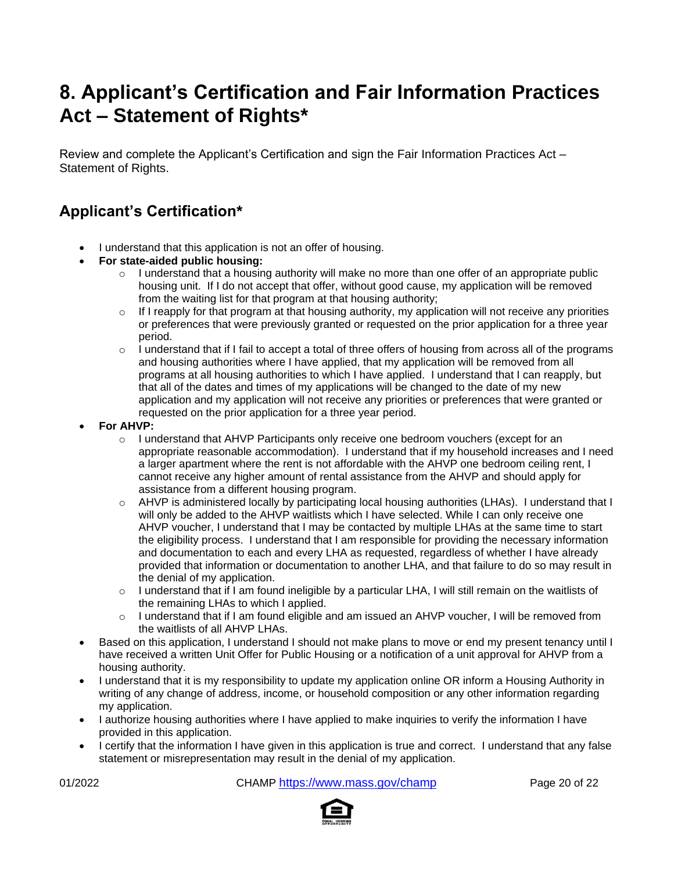# **8. Applicant's Certification and Fair Information Practices Act – Statement of Rights\***

Review and complete the Applicant's Certification and sign the Fair Information Practices Act – Statement of Rights.

## **Applicant's Certification\***

- I understand that this application is not an offer of housing.
- **For state-aided public housing:**
	- $\circ$  I understand that a housing authority will make no more than one offer of an appropriate public housing unit. If I do not accept that offer, without good cause, my application will be removed from the waiting list for that program at that housing authority;
	- $\circ$  If I reapply for that program at that housing authority, my application will not receive any priorities or preferences that were previously granted or requested on the prior application for a three year period.
	- $\circ$  I understand that if I fail to accept a total of three offers of housing from across all of the programs and housing authorities where I have applied, that my application will be removed from all programs at all housing authorities to which I have applied. I understand that I can reapply, but that all of the dates and times of my applications will be changed to the date of my new application and my application will not receive any priorities or preferences that were granted or requested on the prior application for a three year period.
- **For AHVP:**
	- o I understand that AHVP Participants only receive one bedroom vouchers (except for an appropriate reasonable accommodation). I understand that if my household increases and I need a larger apartment where the rent is not affordable with the AHVP one bedroom ceiling rent, I cannot receive any higher amount of rental assistance from the AHVP and should apply for assistance from a different housing program.
	- o AHVP is administered locally by participating local housing authorities (LHAs). I understand that I will only be added to the AHVP waitlists which I have selected. While I can only receive one AHVP voucher, I understand that I may be contacted by multiple LHAs at the same time to start the eligibility process. I understand that I am responsible for providing the necessary information and documentation to each and every LHA as requested, regardless of whether I have already provided that information or documentation to another LHA, and that failure to do so may result in the denial of my application.
	- $\circ$  I understand that if I am found ineligible by a particular LHA, I will still remain on the waitlists of the remaining LHAs to which I applied.
	- $\circ$  I understand that if I am found eligible and am issued an AHVP voucher, I will be removed from the waitlists of all AHVP LHAs.
- Based on this application, I understand I should not make plans to move or end my present tenancy until I have received a written Unit Offer for Public Housing or a notification of a unit approval for AHVP from a housing authority.
- I understand that it is my responsibility to update my application online OR inform a Housing Authority in writing of any change of address, income, or household composition or any other information regarding my application.
- I authorize housing authorities where I have applied to make inquiries to verify the information I have provided in this application.
- I certify that the information I have given in this application is true and correct. I understand that any false statement or misrepresentation may result in the denial of my application.

01/2022 CHAMP <https://www.mass.gov/champ> Page 20 of 22

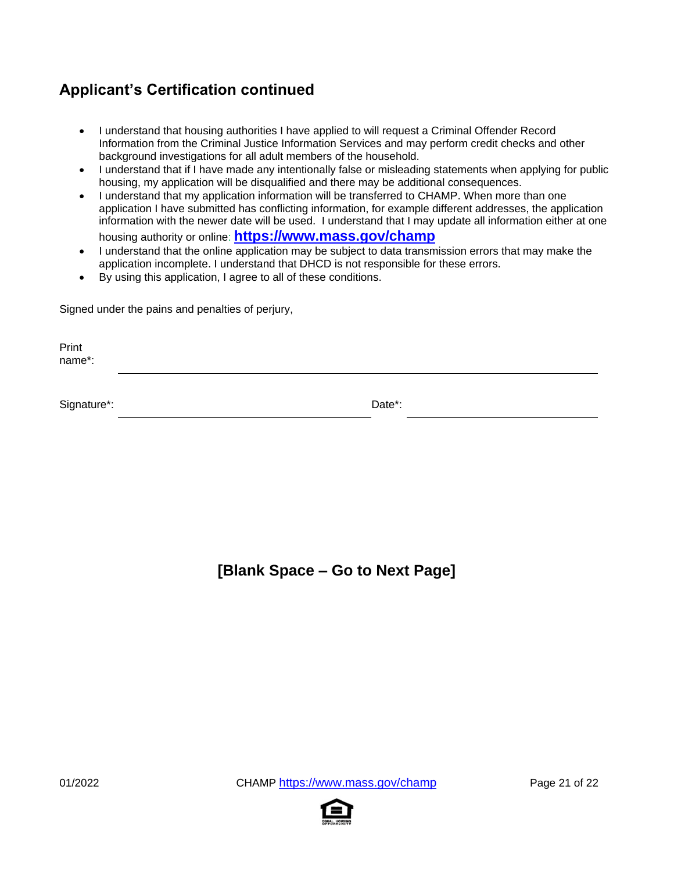## **Applicant's Certification continued**

- I understand that housing authorities I have applied to will request a Criminal Offender Record Information from the Criminal Justice Information Services and may perform credit checks and other background investigations for all adult members of the household.
- I understand that if I have made any intentionally false or misleading statements when applying for public housing, my application will be disqualified and there may be additional consequences.
- I understand that my application information will be transferred to CHAMP. When more than one application I have submitted has conflicting information, for example different addresses, the application information with the newer date will be used. I understand that I may update all information either at one housing authority or online: **[https://www.mass.gov/champ](https://www.mass.gov/applyforpublichousing)**
- I understand that the online application may be subject to data transmission errors that may make the application incomplete. I understand that DHCD is not responsible for these errors.
- By using this application, I agree to all of these conditions.

Signed under the pains and penalties of perjury,

Print name\*:

Signature\*: Date\*:

### **[Blank Space – Go to Next Page]**